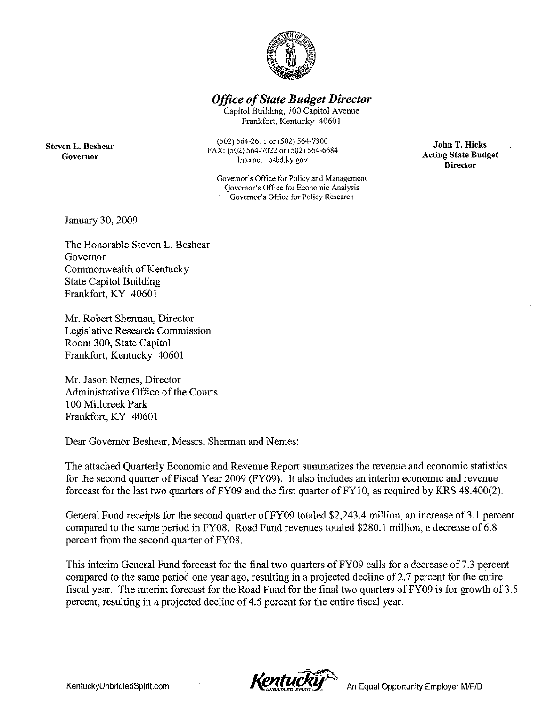

**Office of State Budget Director** 

Capitol Building, 700 Capitol Avenue Frankfort, Kentucky 40601

**Steven L. Beshear** Governor

(502) 564-2611 or (502) 564-7300 FAX: (502) 564-7022 or (502) 564-6684 Internet: osbd.ky.gov

Governor's Office for Policy and Management Governor's Office for Economic Analysis Governor's Office for Policy Research

John T. Hicks **Acting State Budget Director** 

January 30, 2009

The Honorable Steven L. Beshear Governor Commonwealth of Kentucky **State Capitol Building** Frankfort, KY 40601

Mr. Robert Sherman, Director Legislative Research Commission Room 300, State Capitol Frankfort, Kentucky 40601

Mr. Jason Nemes, Director Administrative Office of the Courts 100 Millcreek Park Frankfort, KY 40601

Dear Governor Beshear, Messrs. Sherman and Nemes:

The attached Quarterly Economic and Revenue Report summarizes the revenue and economic statistics for the second quarter of Fiscal Year 2009 (FY09). It also includes an interim economic and revenue forecast for the last two quarters of FY09 and the first quarter of FY10, as required by KRS 48.400(2).

General Fund receipts for the second quarter of FY09 totaled \$2,243.4 million, an increase of 3.1 percent compared to the same period in FY08. Road Fund revenues totaled \$280.1 million, a decrease of 6.8 percent from the second quarter of FY08.

This interim General Fund forecast for the final two quarters of FY09 calls for a decrease of 7.3 percent compared to the same period one year ago, resulting in a projected decline of 2.7 percent for the entire fiscal year. The interim forecast for the Road Fund for the final two quarters of FY09 is for growth of 3.5 percent, resulting in a projected decline of 4.5 percent for the entire fiscal year.

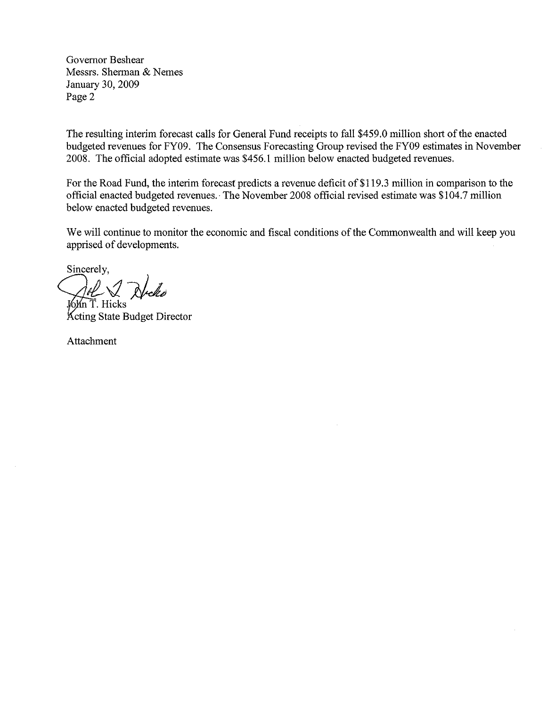Governor Beshear Messrs. Sherman & Nemes January 30, 2009 Page 2

The resulting interim forecast calls for General Fund receipts to fall \$459.0 million short of the enacted budgeted revenues for FY09. The Consensus Forecasting Group revised the FY09 estimates in November 2008. The official adopted estimate was \$456.1 million below enacted budgeted revenues.

For the Road Fund, the interim forecast predicts a revenue deficit of \$119.3 million in comparison to the official enacted budgeted revenues. The November 2008 official revised estimate was \$104.7 million below enacted budgeted revenues.

We will continue to monitor the economic and fiscal conditions of the Commonwealth and will keep you apprised of developments.

Sincerely, V Nicke J61m T. Hicks

**Keting State Budget Director** 

Attachment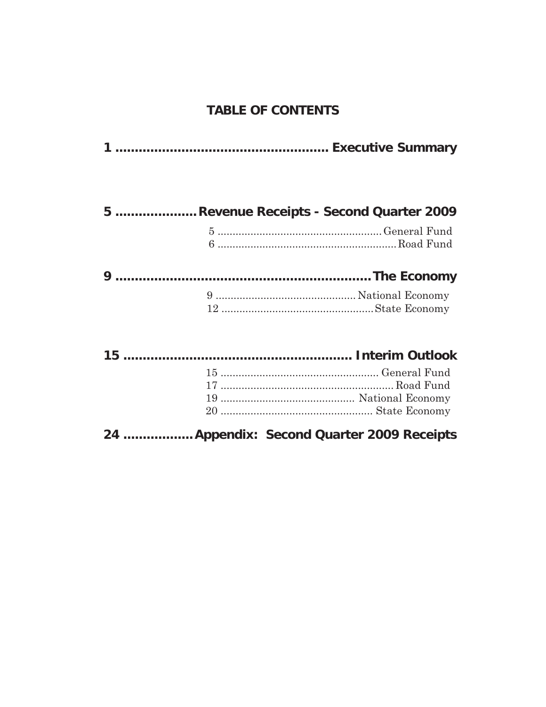#### **TABLE OF CONTENTS**

|   | 5  Revenue Receipts - Second Quarter 2009  |
|---|--------------------------------------------|
|   |                                            |
|   |                                            |
| 9 |                                            |
|   |                                            |
|   |                                            |
|   |                                            |
|   |                                            |
|   |                                            |
|   | 24  Appendix: Second Quarter 2009 Receipts |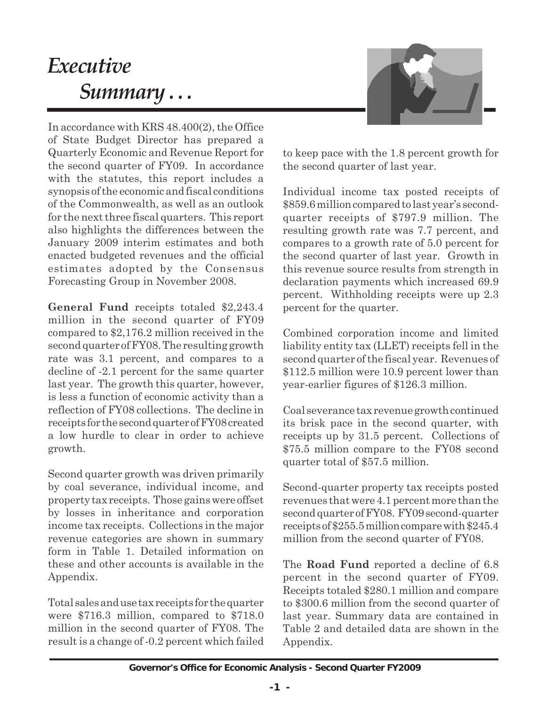# *Executive*

In accordance with KRS 48.400(2), the Office of State Budget Director has prepared a Quarterly Economic and Revenue Report for the second quarter of FY09. In accordance with the statutes, this report includes a synopsis of the economic and fiscal conditions of the Commonwealth, as well as an outlook for the next three fiscal quarters. This report also highlights the differences between the January 2009 interim estimates and both enacted budgeted revenues and the official estimates adopted by the Consensus

**General Fund** receipts totaled \$2,243.4 million in the second quarter of FY09 compared to \$2,176.2 million received in the second quarter of FY08. The resulting growth rate was 3.1 percent, and compares to a decline of -2.1 percent for the same quarter last year. The growth this quarter, however, is less a function of economic activity than a reflection of FY08 collections. The decline in receipts for the second quarter of FY08 created a low hurdle to clear in order to achieve growth.

Forecasting Group in November 2008.

Second quarter growth was driven primarily by coal severance, individual income, and property tax receipts. Those gains were offset by losses in inheritance and corporation income tax receipts. Collections in the major revenue categories are shown in summary form in Table 1. Detailed information on these and other accounts is available in the Appendix.

Total sales and use tax receipts for the quarter were \$716.3 million, compared to \$718.0 million in the second quarter of FY08. The result is a change of -0.2 percent which failed



to keep pace with the 1.8 percent growth for the second quarter of last year.

Individual income tax posted receipts of \$859.6 million compared to last year's secondquarter receipts of \$797.9 million. The resulting growth rate was 7.7 percent, and compares to a growth rate of 5.0 percent for the second quarter of last year. Growth in this revenue source results from strength in declaration payments which increased 69.9 percent. Withholding receipts were up 2.3 percent for the quarter.

Combined corporation income and limited liability entity tax (LLET) receipts fell in the second quarter of the fiscal year. Revenues of \$112.5 million were 10.9 percent lower than year-earlier figures of \$126.3 million.

Coal severance tax revenue growth continued its brisk pace in the second quarter, with receipts up by 31.5 percent. Collections of \$75.5 million compare to the FY08 second quarter total of \$57.5 million.

Second-quarter property tax receipts posted revenues that were 4.1 percent more than the second quarter of FY08. FY09 second-quarter receipts of \$255.5 million compare with \$245.4 million from the second quarter of FY08.

The **Road Fund** reported a decline of 6.8 percent in the second quarter of FY09. Receipts totaled \$280.1 million and compare to \$300.6 million from the second quarter of last year. Summary data are contained in Table 2 and detailed data are shown in the Appendix.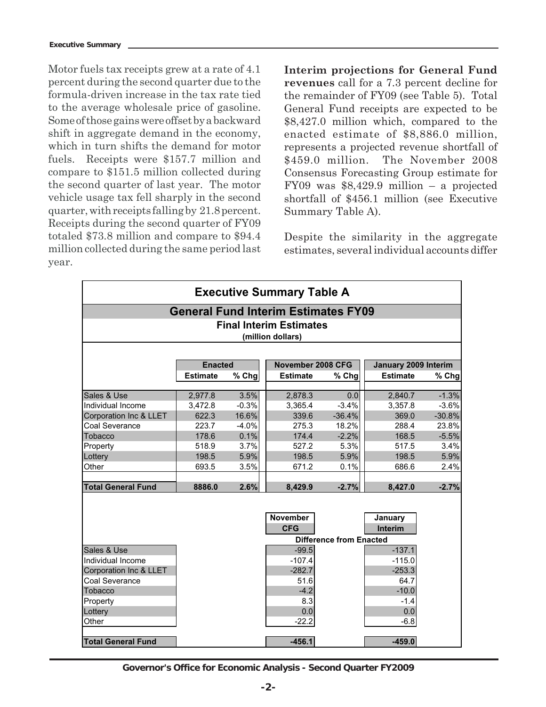percent during the second quarter due to the  formula-driven increase in the tax rate tied  to the average wholesale price of gasoline.  Some of those gains were offset by a backward  shift in aggregate demand in the economy,  which in turn shifts the demand for motor  fuels. Receipts were \$157.7 million and Motor fuels tax receipts grew at a rate of 4.1 compare to \$151.5 million collected during the second quarter of last year. The motor vehicle usage tax fell sharply in the second quarter, with receipts falling by 21.8 percent. Receipts during the second quarter of FY09 totaled \$73.8 million and compare to \$94.4 million collected during the same period last year.

**Interim projections for General Fund revenues** call for a 7.3 percent decline for the remainder of FY09 (see Table 5). Total General Fund receipts are expected to be \$8,427.0 million which, compared to the enacted estimate of \$8,886.0 million, represents a projected revenue shortfall of \$459.0 million. The November 2008 Consensus Forecasting Group estimate for FY09 was  $$8,429.9$  million – a projected shortfall of \$456.1 million (see Executive Summary Table A).

Despite the similarity in the aggregate estimates, several individual accounts differ

| <b>Executive Summary Table A</b>           |                   |         |                   |                                |                      |          |  |  |  |
|--------------------------------------------|-------------------|---------|-------------------|--------------------------------|----------------------|----------|--|--|--|
| <b>General Fund Interim Estimates FY09</b> |                   |         |                   |                                |                      |          |  |  |  |
| <b>Final Interim Estimates</b>             |                   |         |                   |                                |                      |          |  |  |  |
|                                            | (million dollars) |         |                   |                                |                      |          |  |  |  |
|                                            |                   |         |                   |                                |                      |          |  |  |  |
|                                            | <b>Enacted</b>    |         | November 2008 CFG |                                | January 2009 Interim |          |  |  |  |
|                                            | <b>Estimate</b>   | $%$ Chg | <b>Estimate</b>   | % Cha                          | <b>Estimate</b>      | % Chg    |  |  |  |
| Sales & Use                                | 2,977.8           | 3.5%    | 2,878.3           | 0.0                            | 2,840.7              | $-1.3%$  |  |  |  |
| Individual Income                          | 3,472.8           | $-0.3%$ | 3,365.4           | $-3.4%$                        | 3,357.8              | $-3.6%$  |  |  |  |
| Corporation Inc & LLET                     | 622.3             | 16.6%   | 339.6             | $-36.4%$                       | 369.0                | $-30.8%$ |  |  |  |
| Coal Severance                             | 223.7             | $-4.0%$ | 275.3             | 18.2%                          | 288.4                | 23.8%    |  |  |  |
| Tobacco                                    | 178.6             | 0.1%    | 174.4             | $-2.2%$                        | 168.5                | $-5.5%$  |  |  |  |
| Property                                   | 518.9             | 3.7%    | 527.2             | 5.3%                           | 517.5                | 3.4%     |  |  |  |
| Lottery                                    | 198.5             | 5.9%    | 198.5             | 5.9%                           | 198.5                | 5.9%     |  |  |  |
| Other                                      | 693.5             | 3.5%    | 671.2             | 0.1%                           | 686.6                | 2.4%     |  |  |  |
|                                            |                   |         |                   |                                |                      |          |  |  |  |
| <b>Total General Fund</b>                  | 8886.0            | 2.6%    | 8,429.9           | $-2.7%$                        | 8,427.0              | $-2.7%$  |  |  |  |
|                                            |                   |         |                   |                                |                      |          |  |  |  |
|                                            |                   |         | <b>November</b>   |                                | January              |          |  |  |  |
|                                            |                   |         | <b>CFG</b>        |                                | <b>Interim</b>       |          |  |  |  |
|                                            |                   |         |                   | <b>Difference from Enacted</b> |                      |          |  |  |  |
| Sales & Use                                |                   |         | $-99.5$           |                                | $-137.1$             |          |  |  |  |
| Individual Income                          |                   |         | $-107.4$          |                                | $-115.0$             |          |  |  |  |
| Corporation Inc & LLET                     |                   |         | $-282.7$          |                                | $-253.3$             |          |  |  |  |
| Coal Severance                             |                   |         | 51.6              |                                | 64.7                 |          |  |  |  |
| Tobacco                                    |                   |         | $-4.2$            |                                | $-10.0$              |          |  |  |  |
| Property                                   |                   |         | 8.3               |                                | $-1.4$               |          |  |  |  |
| Lottery                                    |                   |         | 0.0               |                                | 0.0                  |          |  |  |  |
| Other                                      |                   |         | $-22.2$           |                                | $-6.8$               |          |  |  |  |
|                                            |                   |         |                   |                                |                      |          |  |  |  |
| <b>Total General Fund</b>                  |                   |         | $-456.1$          |                                | $-459.0$             |          |  |  |  |

**Governor's Office for Economic Analysis - Second Quarter FY2009**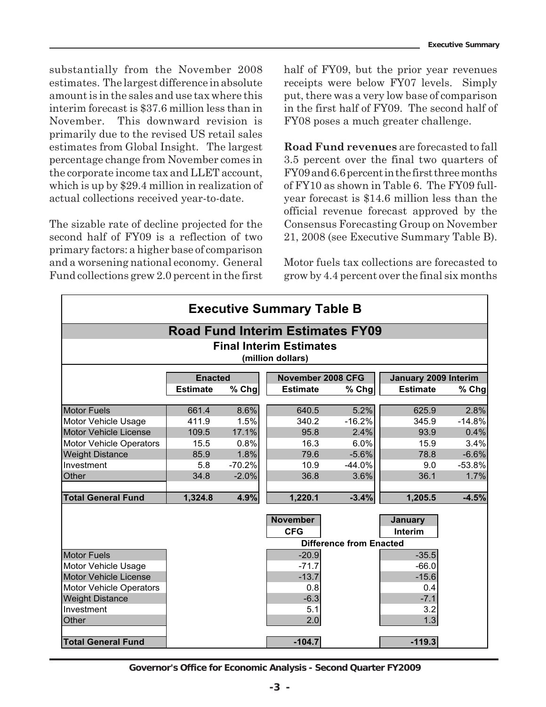$\frac{1}{2}$  put, there was a very low base of comparison<br>interim forecast is \$37.6 million less than in in the first half of FY09. The second half o substantially from the November 2008 estimates. The largest difference in absolute amount is in the sales and use tax where this November. This downward revision is primarily due to the revised US retail sales estimates from Global Insight. The largest percentage change from November comes in the corporate income tax and LLET account, which is up by \$29.4 million in realization of actual collections received year-to-date.

The sizable rate of decline projected for the second half of FY09 is a reflection of two primary factors: a higher base of comparison and a worsening national economy. General Fund collections grew 2.0 percent in the first half of FY09, but the prior year revenues receipts were below FY07 levels. Simply put, there was a very low base of comparison in the first half of FY09. The second half of FY08 poses a much greater challenge.

**Road Fund revenues** are forecasted to fall 3.5 percent over the final two quarters of FY09 and 6.6 percent in the first three months of FY10 as shown in Table 6. The FY09 fullyear forecast is \$14.6 million less than the official revenue forecast approved by the Consensus Forecasting Group on November 21, 2008 (see Executive Summary Table B).

Motor fuels tax collections are forecasted to grow by 4.4 percent over the final six months

| <b>Executive Summary Table B</b>        |                 |                                                                    |                 |                                |                 |          |  |  |
|-----------------------------------------|-----------------|--------------------------------------------------------------------|-----------------|--------------------------------|-----------------|----------|--|--|
| <b>Road Fund Interim Estimates FY09</b> |                 |                                                                    |                 |                                |                 |          |  |  |
| <b>Final Interim Estimates</b>          |                 |                                                                    |                 |                                |                 |          |  |  |
| (million dollars)                       |                 |                                                                    |                 |                                |                 |          |  |  |
|                                         |                 | <b>Enacted</b><br>November 2008 CFG<br><b>January 2009 Interim</b> |                 |                                |                 |          |  |  |
|                                         | <b>Estimate</b> | % Chg                                                              | <b>Estimate</b> | % Chg                          | <b>Estimate</b> | % Chq    |  |  |
| <b>Motor Fuels</b>                      | 661.4           | 8.6%                                                               | 640.5           | 5.2%                           | 625.9           | 2.8%     |  |  |
| Motor Vehicle Usage                     | 411.9           | 1.5%                                                               | 340.2           | $-16.2%$                       | 345.9           | $-14.8%$ |  |  |
| <b>Motor Vehicle License</b>            | 109.5           | 17.1%                                                              | 95.8            | 2.4%                           | 93.9            | 0.4%     |  |  |
| <b>Motor Vehicle Operators</b>          | 15.5            | 0.8%                                                               | 16.3            | 6.0%                           | 15.9            | 3.4%     |  |  |
| <b>Weight Distance</b>                  | 85.9            | 1.8%                                                               | 79.6            | $-5.6%$                        | 78.8            | $-6.6%$  |  |  |
| Investment                              | 5.8             | $-70.2%$                                                           | 10.9            | $-44.0%$                       | 9.0             | $-53.8%$ |  |  |
| Other                                   | 34.8            | $-2.0%$                                                            | 36.8            | 3.6%                           | 36.1            | 1.7%     |  |  |
|                                         |                 |                                                                    |                 |                                |                 |          |  |  |
| <b>Total General Fund</b>               | 1,324.8         | 4.9%                                                               | 1,220.1         | $-3.4%$                        | 1,205.5         | $-4.5%$  |  |  |
|                                         |                 |                                                                    |                 |                                |                 |          |  |  |
|                                         |                 |                                                                    | <b>November</b> |                                | January         |          |  |  |
|                                         |                 |                                                                    | <b>CFG</b>      |                                | <b>Interim</b>  |          |  |  |
|                                         |                 |                                                                    |                 | <b>Difference from Enacted</b> |                 |          |  |  |
| <b>Motor Fuels</b>                      |                 |                                                                    | $-20.9$         |                                | $-35.5$         |          |  |  |
| Motor Vehicle Usage                     |                 |                                                                    | $-71.7$         |                                | $-66.0$         |          |  |  |
| Motor Vehicle License                   |                 |                                                                    | $-13.7$         |                                | $-15.6$         |          |  |  |
| <b>Motor Vehicle Operators</b>          |                 |                                                                    | 0.8             |                                | 0.4             |          |  |  |
| <b>Weight Distance</b>                  |                 |                                                                    | $-6.3$          |                                | $-7.1$          |          |  |  |
| Investment                              |                 |                                                                    | 5.1             |                                | 3.2             |          |  |  |
| Other                                   |                 |                                                                    | 2.0             |                                | 1.3             |          |  |  |
| <b>Total General Fund</b>               |                 |                                                                    | $-104.7$        |                                | $-119.3$        |          |  |  |

**Governor's Office for Economic Analysis - Second Quarter FY2009**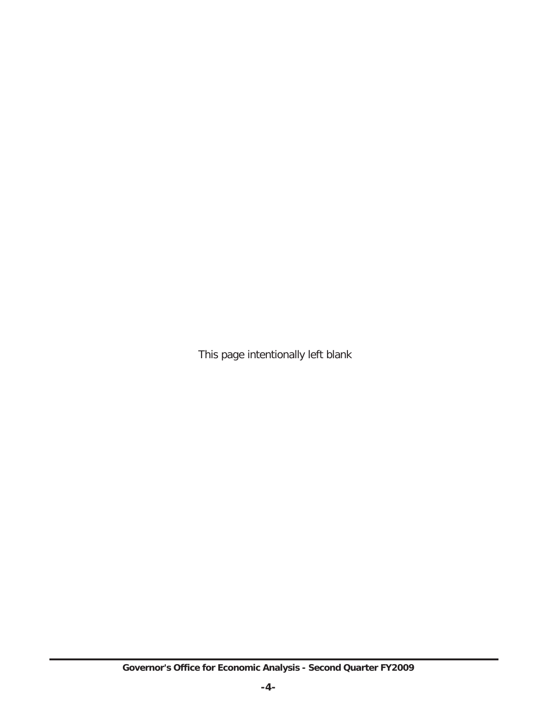This page intentionally left blank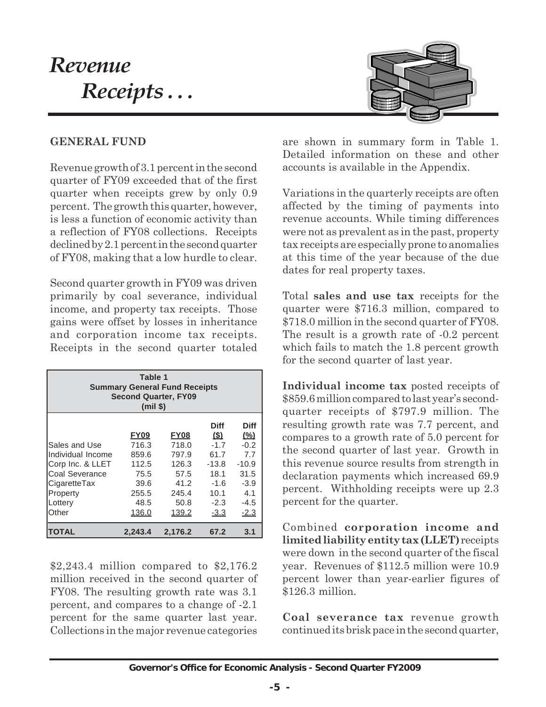## *Revenue*

# **Quarterly Economic & Revene Report First Quarter 2007** *Receipts . . .*

#### **GENERAL FUND**

Revenue growth of 3.1 percent in the second quarter of FY09 exceeded that of the first quarter when receipts grew by only 0.9 percent. The growth this quarter, however, is less a function of economic activity than a reflection of FY08 collections. Receipts declined by 2.1 percent in the second quarter of FY08, making that a low hurdle to clear.

Second quarter growth in FY09 was driven primarily by coal severance, individual income, and property tax receipts. Those gains were offset by losses in inheritance and corporation income tax receipts. Receipts in the second quarter totaled

| Table 1<br><b>Summary General Fund Receipts</b><br><b>Second Quarter, FY09</b><br>$(mil$ \$)                             |                                                                                  |                                                                                  |                                                                                                 |                                                                                                                  |  |  |  |
|--------------------------------------------------------------------------------------------------------------------------|----------------------------------------------------------------------------------|----------------------------------------------------------------------------------|-------------------------------------------------------------------------------------------------|------------------------------------------------------------------------------------------------------------------|--|--|--|
| Sales and Use<br>Individual Income<br>Corp Inc. & LLET<br>Coal Severance<br>CigaretteTax<br>Property<br>Lottery<br>Other | <b>FY09</b><br>716.3<br>859.6<br>112.5<br>75.5<br>39.6<br>255.5<br>48.5<br>136.0 | <b>FY08</b><br>718.0<br>797.9<br>126.3<br>57.5<br>41.2<br>245.4<br>50.8<br>139.2 | <b>Diff</b><br>$(s)$<br>$-1.7$<br>61.7<br>$-13.8$<br>18.1<br>$-1.6$<br>10.1<br>$-2.3$<br>$-3.3$ | <b>Diff</b><br>$\frac{\binom{0}{2}}{2}$<br>$-0.2$<br>7.7<br>$-10.9$<br>31.5<br>$-3.9$<br>4.1<br>$-4.5$<br>$-2.3$ |  |  |  |
| <b>TOTAL</b>                                                                                                             | 2,243.4                                                                          | 2,176.2                                                                          | 67.2                                                                                            | 3.1                                                                                                              |  |  |  |

\$2,243.4 million compared to \$2,176.2 million received in the second quarter of FY08. The resulting growth rate was 3.1 percent, and compares to a change of -2.1 percent for the same quarter last year. Collections in the major revenue categories are shown in summary form in Table 1. Detailed information on these and other accounts is available in the Appendix.

Variations in the quarterly receipts are often affected by the timing of payments into revenue accounts. While timing differences were not as prevalent as in the past, property tax receipts are especially prone to anomalies at this time of the year because of the due dates for real property taxes.

Total **sales and use tax** receipts for the quarter were \$716.3 million, compared to \$718.0 million in the second quarter of FY08. The result is a growth rate of -0.2 percent which fails to match the 1.8 percent growth for the second quarter of last year.

**Individual income tax** posted receipts of \$859.6 million compared to last year's secondquarter receipts of \$797.9 million. The resulting growth rate was 7.7 percent, and compares to a growth rate of 5.0 percent for the second quarter of last year. Growth in this revenue source results from strength in declaration payments which increased 69.9 percent. Withholding receipts were up 2.3 percent for the quarter.

Combined **corporation income and limited liability entity tax (LLET)** receipts were down in the second quarter of the fiscal year. Revenues of \$112.5 million were 10.9 percent lower than year-earlier figures of \$126.3 million.

**Coal severance tax** revenue growth continued its brisk pace in the second quarter,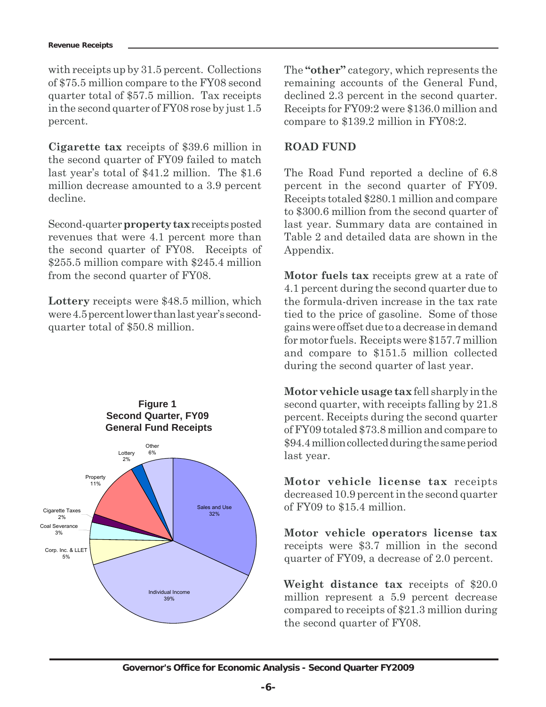with receipts up by 31.5 percent. Collections of \$75.5 million compare to the FY08 second quarter total of \$57.5 million. Tax receipts in the second quarter of FY08 rose by just 1.5 percent.

**Cigarette tax** receipts of \$39.6 million in the second quarter of FY09 failed to match last year's total of \$41.2 million. The \$1.6 million decrease amounted to a 3.9 percent decline.

Second-quarter **property tax** receipts posted revenues that were 4.1 percent more than the second quarter of FY08. Receipts of \$255.5 million compare with \$245.4 million from the second quarter of FY08.

**Lottery** receipts were \$48.5 million, which were 4.5 percent lower than last year's secondquarter total of \$50.8 million.



The **"other"** category, which represents the remaining accounts of the General Fund, declined 2.3 percent in the second quarter. Receipts for FY09:2 were \$136.0 million and compare to \$139.2 million in FY08:2.

#### **ROAD FUND**

The Road Fund reported a decline of 6.8 percent in the second quarter of FY09. Receipts totaled \$280.1 million and compare to \$300.6 million from the second quarter of last year. Summary data are contained in Table 2 and detailed data are shown in the Appendix.

**Motor fuels tax** receipts grew at a rate of 4.1 percent during the second quarter due to the formula-driven increase in the tax rate tied to the price of gasoline. Some of those gains were offset due to a decrease in demand for motor fuels. Receipts were \$157.7 million and compare to \$151.5 million collected during the second quarter of last year.

**Motor vehicle usage tax** fell sharply in the second quarter, with receipts falling by 21.8 percent. Receipts during the second quarter of FY09 totaled \$73.8 million and compare to \$94.4 million collected during the same period last year.

**Motor vehicle license tax** receipts decreased 10.9 percent in the second quarter of FY09 to \$15.4 million.

**Motor vehicle operators license tax** receipts were \$3.7 million in the second quarter of FY09, a decrease of 2.0 percent.

**Weight distance tax** receipts of \$20.0 million represent a 5.9 percent decrease compared to receipts of \$21.3 million during the second quarter of FY08.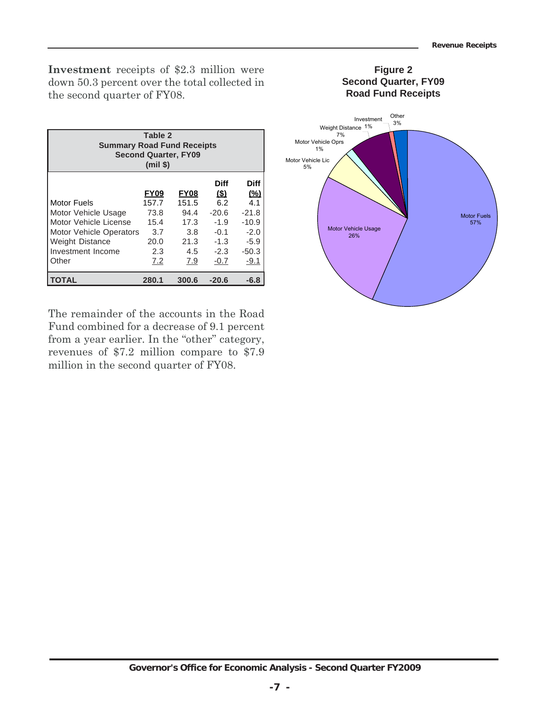**Investment** receipts of \$2.3 million were down 50.3 percent over the total collected in the second quarter of FY08.

| Table 2<br><b>Summary Road Fund Receipts</b><br><b>Second Quarter, FY09</b><br>$(mil$ \$) |             |             |             |             |  |
|-------------------------------------------------------------------------------------------|-------------|-------------|-------------|-------------|--|
|                                                                                           | <b>FY09</b> | <b>FY08</b> | Diff<br>\$2 | Diff<br>(%) |  |
| Motor Fuels                                                                               | 157.7       | 151.5       | 6.2         | 4.1         |  |
| Motor Vehicle Usage                                                                       | 73.8        | 94.4        | $-20.6$     | $-21.8$     |  |
| l Motor Vehicle License                                                                   | 15.4        | 17.3        | $-1.9$      | $-10.9$     |  |
| Motor Vehicle Operators                                                                   | 3.7         | 3.8         | $-0.1$      | $-2.0$      |  |
| Weight Distance                                                                           | 20.0        | 21.3        | $-1.3$      | $-5.9$      |  |
| Investment Income                                                                         | 2.3         | 4.5         | $-2.3$      | $-50.3$     |  |
| Other                                                                                     | 7.2         | 7.9         | $-0.7$      | $-9.1$      |  |
|                                                                                           | 280.1       | 300.6       | -20.6       | -6.8        |  |

The remainder of the accounts in the Road Fund combined for a decrease of 9.1 percent from a year earlier. In the "other" category, revenues of \$7.2 million compare to \$7.9 million in the second quarter of FY08.



#### **Figure 2 Second Quarter, FY09 Road Fund Receipts**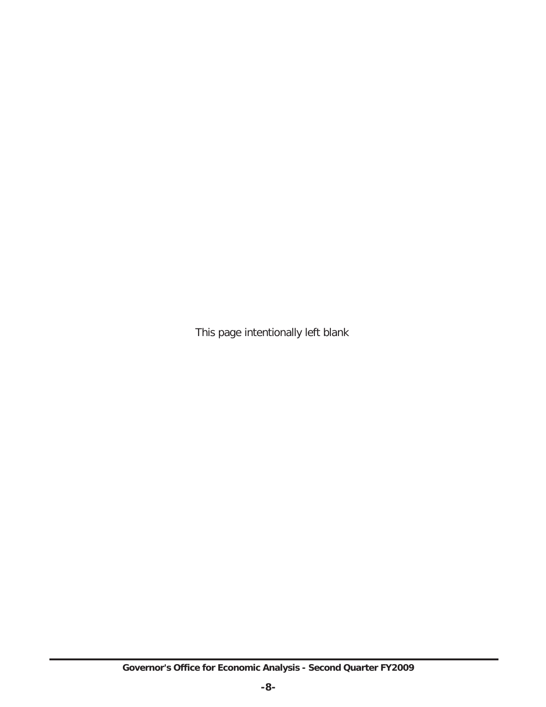This page intentionally left blank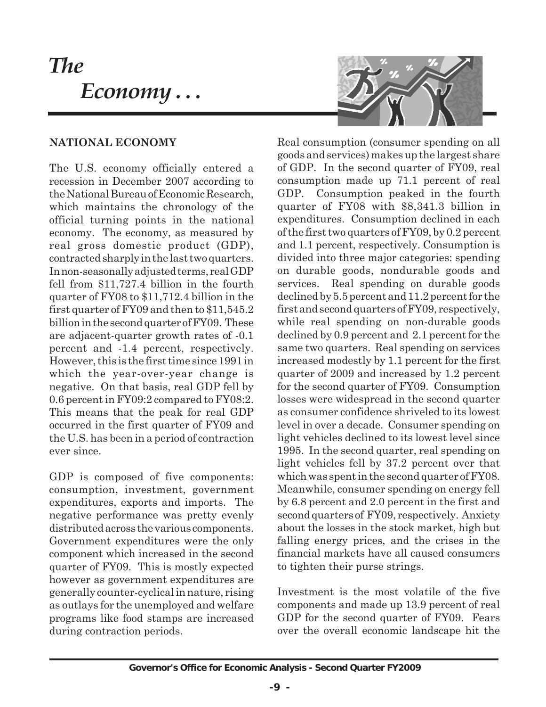*The*

#### **NATIONAL ECONOMY**

The U.S. economy officially entered a recession in December 2007 according to the National Bureau of Economic Research, which maintains the chronology of the official turning points in the national economy. The economy, as measured by real gross domestic product (GDP), contracted sharply in the last two quarters. In non-seasonally adjusted terms, real GDP fell from \$11,727.4 billion in the fourth quarter of FY08 to \$11,712.4 billion in the first quarter of FY09 and then to \$11,545.2 billion in the second quarter of FY09. These are adjacent-quarter growth rates of -0.1 percent and -1.4 percent, respectively. However, this is the first time since 1991 in which the year-over-year change is negative. On that basis, real GDP fell by 0.6 percent in FY09:2 compared to FY08:2. This means that the peak for real GDP occurred in the first quarter of FY09 and the U.S. has been in a period of contraction ever since.

GDP is composed of five components: consumption, investment, government expenditures, exports and imports. The negative performance was pretty evenly distributed across the various components. Government expenditures were the only component which increased in the second quarter of FY09. This is mostly expected however as government expenditures are generally counter-cyclical in nature, rising as outlays for the unemployed and welfare programs like food stamps are increased during contraction periods.



Real consumption (consumer spending on all goods and services) makes up the largest share of GDP. In the second quarter of FY09, real consumption made up 71.1 percent of real GDP. Consumption peaked in the fourth quarter of FY08 with \$8,341.3 billion in expenditures. Consumption declined in each of the first two quarters of FY09, by 0.2 percent and 1.1 percent, respectively. Consumption is divided into three major categories: spending on durable goods, nondurable goods and services. Real spending on durable goods declined by 5.5 percent and 11.2 percent for the first and second quarters of FY09, respectively, while real spending on non-durable goods declined by 0.9 percent and 2.1 percent for the same two quarters. Real spending on services increased modestly by 1.1 percent for the first quarter of 2009 and increased by 1.2 percent for the second quarter of FY09. Consumption losses were widespread in the second quarter as consumer confidence shriveled to its lowest level in over a decade. Consumer spending on light vehicles declined to its lowest level since 1995. In the second quarter, real spending on light vehicles fell by 37.2 percent over that which was spent in the second quarter of FY08. Meanwhile, consumer spending on energy fell by 6.8 percent and 2.0 percent in the first and second quarters of FY09, respectively. Anxiety about the losses in the stock market, high but falling energy prices, and the crises in the financial markets have all caused consumers to tighten their purse strings.

Investment is the most volatile of the five components and made up 13.9 percent of real GDP for the second quarter of FY09. Fears over the overall economic landscape hit the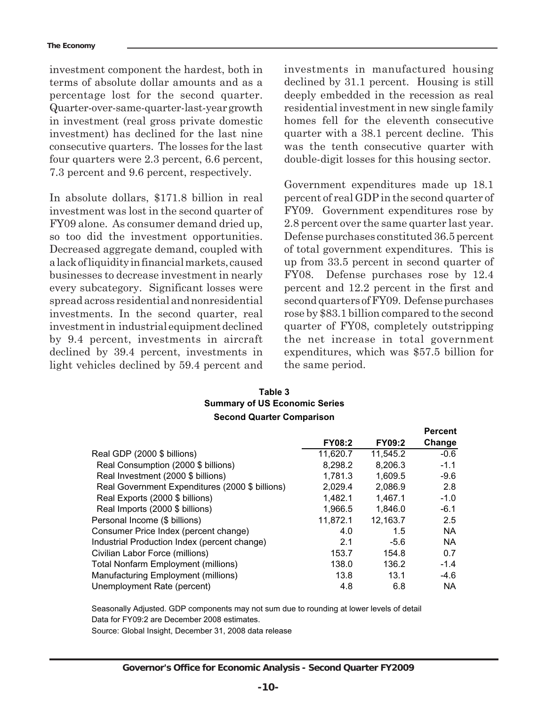investment component the hardest, both in terms of absolute dollar amounts and as a percentage lost for the second quarter. Quarter-over-same-quarter-last-year growth in investment (real gross private domestic investment) has declined for the last nine consecutive quarters. The losses for the last four quarters were 2.3 percent, 6.6 percent, 7.3 percent and 9.6 percent, respectively.

In absolute dollars, \$171.8 billion in real investment was lost in the second quarter of FY09 alone. As consumer demand dried up, so too did the investment opportunities. Decreased aggregate demand, coupled with a lack of liquidity in financial markets, caused businesses to decrease investment in nearly every subcategory. Significant losses were spread across residential and nonresidential investments. In the second quarter, real investment in industrial equipment declined by 9.4 percent, investments in aircraft declined by 39.4 percent, investments in light vehicles declined by 59.4 percent and investments in manufactured housing declined by 31.1 percent. Housing is still deeply embedded in the recession as real residential investment in new single family homes fell for the eleventh consecutive quarter with a 38.1 percent decline. This was the tenth consecutive quarter with double-digit losses for this housing sector.

Government expenditures made up 18.1 percent of real GDP in the second quarter of FY09. Government expenditures rose by 2.8 percent over the same quarter last year. Defense purchases constituted 36.5 percent of total government expenditures. This is up from 33.5 percent in second quarter of FY08. Defense purchases rose by 12.4 percent and 12.2 percent in the first and second quarters of FY09. Defense purchases rose by \$83.1 billion compared to the second quarter of FY08, completely outstripping the net increase in total government expenditures, which was \$57.5 billion for the same period.

#### **Table 3 Summary of US Economic Series Second Quarter Comparison**

|                                                 |               |               | <b>Percent</b> |
|-------------------------------------------------|---------------|---------------|----------------|
|                                                 | <b>FY08:2</b> | <b>FY09:2</b> | Change         |
| Real GDP (2000 \$ billions)                     | 11,620.7      | 11,545.2      | $-0.6$         |
| Real Consumption (2000 \$ billions)             | 8,298.2       | 8,206.3       | $-1.1$         |
| Real Investment (2000 \$ billions)              | 1,781.3       | 1,609.5       | $-9.6$         |
| Real Government Expenditures (2000 \$ billions) | 2,029.4       | 2,086.9       | 2.8            |
| Real Exports (2000 \$ billions)                 | 1,482.1       | 1,467.1       | $-1.0$         |
| Real Imports (2000 \$ billions)                 | 1,966.5       | 1,846.0       | $-6.1$         |
| Personal Income (\$ billions)                   | 11,872.1      | 12,163.7      | 2.5            |
| Consumer Price Index (percent change)           | 4.0           | 1.5           | <b>NA</b>      |
| Industrial Production Index (percent change)    | 2.1           | $-5.6$        | <b>NA</b>      |
| Civilian Labor Force (millions)                 | 153.7         | 154.8         | 0.7            |
| Total Nonfarm Employment (millions)             | 138.0         | 136.2         | $-1.4$         |
| Manufacturing Employment (millions)             | 13.8          | 13.1          | $-4.6$         |
| Unemployment Rate (percent)                     | 4.8           | 6.8           | <b>NA</b>      |

Seasonally Adjusted. GDP components may not sum due to rounding at lower levels of detail Data for FY09:2 are December 2008 estimates.

Source: Global Insight, December 31, 2008 data release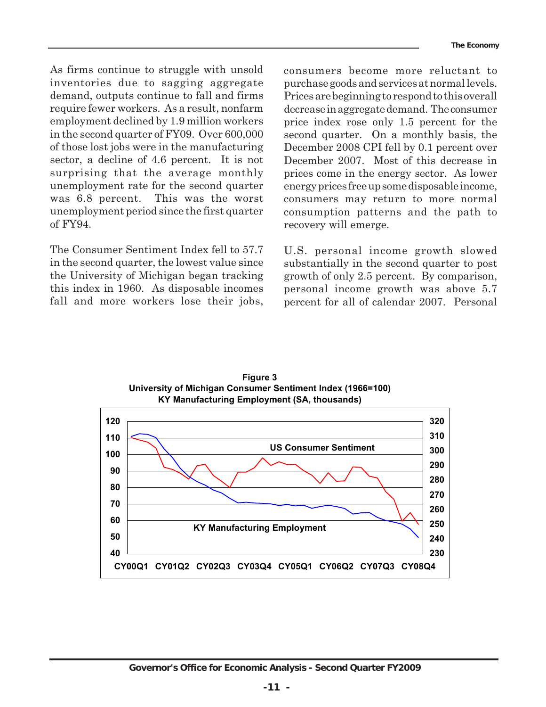require fewer workers. As a result, nonfarm decrease in aggregate demand. The consume As firms continue to struggle with unsold inventories due to sagging aggregate demand, outputs continue to fall and firms employment declined by 1.9 million workers in the second quarter of FY09. Over 600,000 of those lost jobs were in the manufacturing sector, a decline of 4.6 percent. It is not surprising that the average monthly unemployment rate for the second quarter was 6.8 percent. This was the worst unemployment period since the first quarter of FY94.

The Consumer Sentiment Index fell to 57.7 in the second quarter, the lowest value since the University of Michigan began tracking this index in 1960. As disposable incomes fall and more workers lose their jobs, consumers become more reluctant to purchase goods and services at normal levels. Prices are beginning to respond to this overall decrease in aggregate demand. The consumer price index rose only 1.5 percent for the second quarter. On a monthly basis, the December 2008 CPI fell by 0.1 percent over December 2007. Most of this decrease in prices come in the energy sector. As lower energy prices free up some disposable income, consumers may return to more normal consumption patterns and the path to recovery will emerge.

U.S. personal income growth slowed substantially in the second quarter to post growth of only 2.5 percent. By comparison, personal income growth was above 5.7 percent for all of calendar 2007. Personal



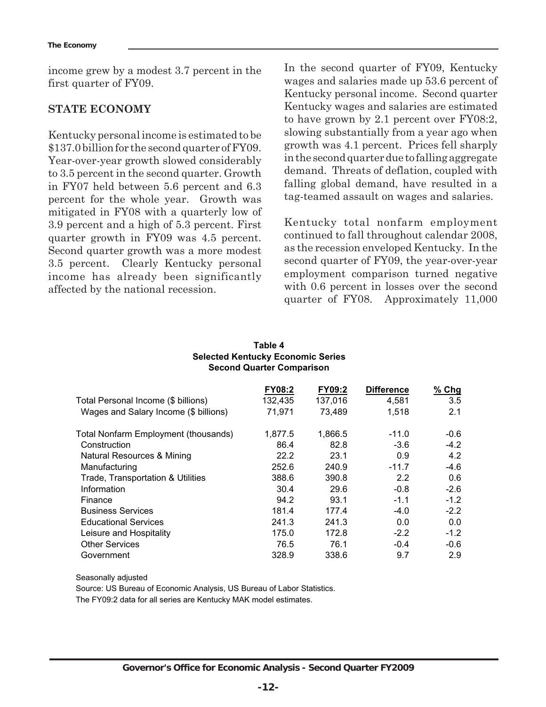income grew by a modest 3.7 percent in the first quarter of FY09.

#### **STATE ECONOMY**

Kentucky personal income is estimated to be \$137.0 billion for the second quarter of FY09. Year-over-year growth slowed considerably to 3.5 percent in the second quarter. Growth in FY07 held between 5.6 percent and 6.3 percent for the whole year. Growth was mitigated in FY08 with a quarterly low of 3.9 percent and a high of 5.3 percent. First quarter growth in FY09 was 4.5 percent. Second quarter growth was a more modest 3.5 percent. Clearly Kentucky personal income has already been significantly affected by the national recession.

In the second quarter of FY09, Kentucky wages and salaries made up 53.6 percent of Kentucky personal income. Second quarter Kentucky wages and salaries are estimated to have grown by 2.1 percent over FY08:2, slowing substantially from a year ago when growth was 4.1 percent. Prices fell sharply in the second quarter due to falling aggregate demand. Threats of deflation, coupled with falling global demand, have resulted in a tag-teamed assault on wages and salaries.

Kentucky total nonfarm employment continued to fall throughout calendar 2008, as the recession enveloped Kentucky. In the second quarter of FY09, the year-over-year employment comparison turned negative with 0.6 percent in losses over the second quarter of FY08. Approximately 11,000

| Table 4<br><b>Selected Kentucky Economic Series</b><br><b>Second Quarter Comparison</b> |               |               |                   |         |  |  |  |  |
|-----------------------------------------------------------------------------------------|---------------|---------------|-------------------|---------|--|--|--|--|
|                                                                                         | <b>FY08:2</b> | <b>FY09:2</b> | <b>Difference</b> | $%$ Chg |  |  |  |  |
| Total Personal Income (\$ billions)                                                     | 132,435       | 137,016       | 4,581             | 3.5     |  |  |  |  |
| Wages and Salary Income (\$ billions)                                                   | 71,971        | 73,489        | 1,518             | 2.1     |  |  |  |  |
| Total Nonfarm Employment (thousands)                                                    | 1,877.5       | 1,866.5       | $-11.0$           | $-0.6$  |  |  |  |  |
| Construction                                                                            | 86.4          | 82.8          | $-3.6$            | $-4.2$  |  |  |  |  |
| Natural Resources & Mining                                                              | 22.2          | 23.1          | 0.9               | 4.2     |  |  |  |  |
| Manufacturing                                                                           | 252.6         | 240.9         | $-11.7$           | -4.6    |  |  |  |  |
| Trade, Transportation & Utilities                                                       | 388.6         | 390.8         | $2.2^{\circ}$     | 0.6     |  |  |  |  |
| Information                                                                             | 30.4          | 29.6          | $-0.8$            | $-2.6$  |  |  |  |  |
| Finance                                                                                 | 94.2          | 93.1          | $-1.1$            | $-1.2$  |  |  |  |  |
| <b>Business Services</b>                                                                | 181.4         | 177.4         | $-4.0$            | $-2.2$  |  |  |  |  |
| <b>Educational Services</b>                                                             | 241.3         | 241.3         | 0.0               | 0.0     |  |  |  |  |
| Leisure and Hospitality                                                                 | 175.0         | 172.8         | $-2.2$            | $-1.2$  |  |  |  |  |
| <b>Other Services</b>                                                                   | 76.5          | 76.1          | $-0.4$            | $-0.6$  |  |  |  |  |
| Government                                                                              | 328.9         | 338.6         | 9.7               | 2.9     |  |  |  |  |

Seasonally adjusted

Source: US Bureau of Economic Analysis, US Bureau of Labor Statistics.

The FY09:2 data for all series are Kentucky MAK model estimates.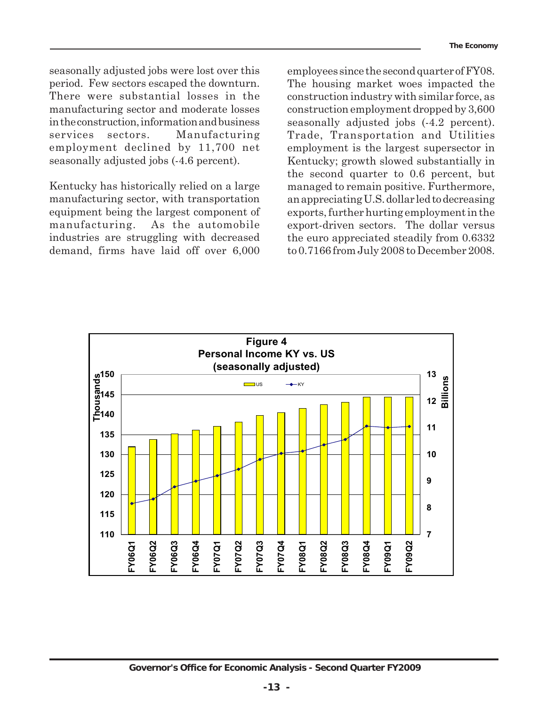rifered were substantian fosses in the construction mudstry with similar force, as<br>manufacturing sector and moderate losses construction employment dropped by 3,600 seasonally adjusted jobs were lost over this period. Few sectors escaped the downturn. There were substantial losses in the in the construction, information and business services sectors. Manufacturing employment declined by 11,700 net seasonally adjusted jobs (-4.6 percent).

Kentucky has historically relied on a large manufacturing sector, with transportation equipment being the largest component of manufacturing. As the automobile industries are struggling with decreased demand, firms have laid off over 6,000

employees since the second quarter of FY08. The housing market woes impacted the construction industry with similar force, as construction employment dropped by 3,600 seasonally adjusted jobs (-4.2 percent). Trade, Transportation and Utilities employment is the largest supersector in Kentucky; growth slowed substantially in the second quarter to 0.6 percent, but managed to remain positive. Furthermore, an appreciating U.S. dollar led to decreasing exports, further hurting employment in the export-driven sectors. The dollar versus the euro appreciated steadily from 0.6332 to 0.7166 from July 2008 to December 2008.

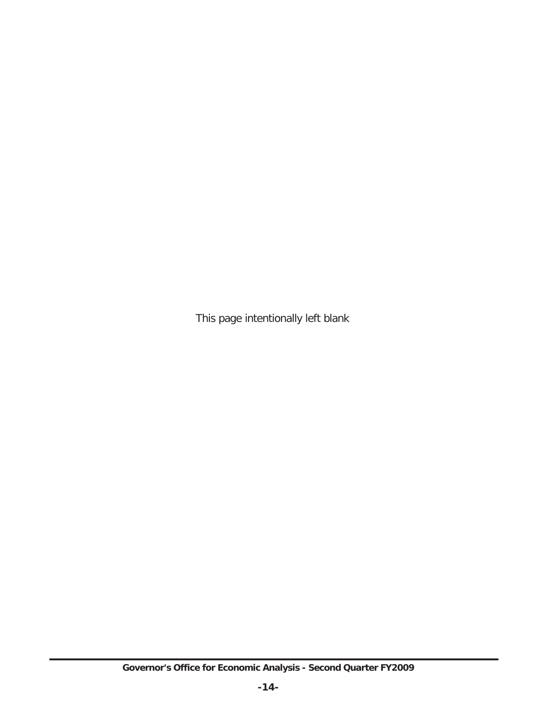This page intentionally left blank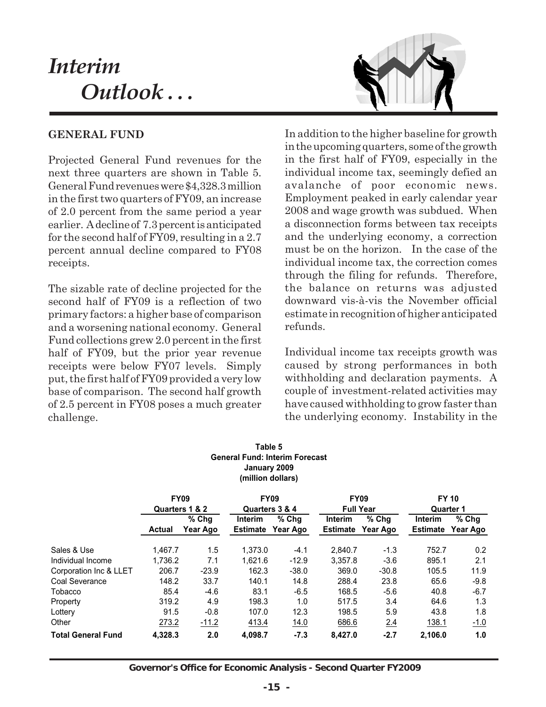## *Interim Outlook . . .*

#### **GENERAL FUND**

Projected General Fund revenues for the next three quarters are shown in Table 5. General Fund revenues were \$4,328.3 million in the first two quarters of FY09, an increase of 2.0 percent from the same period a year earlier. A decline of 7.3 percent is anticipated for the second half of FY09, resulting in a 2.7 percent annual decline compared to FY08 receipts.

The sizable rate of decline projected for the second half of FY09 is a reflection of two primary factors: a higher base of comparison and a worsening national economy. General Fund collections grew 2.0 percent in the first half of FY09, but the prior year revenue receipts were below FY07 levels. Simply put, the first half of FY09 provided a very low base of comparison. The second half growth of 2.5 percent in FY08 poses a much greater challenge.



In addition to the higher baseline for growth in the upcoming quarters, some of the growth in the first half of FY09, especially in the individual income tax, seemingly defied an avalanche of poor economic news. Employment peaked in early calendar year 2008 and wage growth was subdued. When a disconnection forms between tax receipts and the underlying economy, a correction must be on the horizon. In the case of the individual income tax, the correction comes through the filing for refunds. Therefore, the balance on returns was adjusted downward vis-à-vis the November official estimate in recognition of higher anticipated refunds.

Individual income tax receipts growth was caused by strong performances in both withholding and declaration payments. A couple of investment-related activities may have caused withholding to grow faster than the underlying economy. Instability in the

|                           |         |                            | January 2009               | <b>General Fund: Interim Forecast</b><br>(million dollars) |                            |                     |                            |                     |
|---------------------------|---------|----------------------------|----------------------------|------------------------------------------------------------|----------------------------|---------------------|----------------------------|---------------------|
|                           |         | <b>FY09</b>                |                            | <b>FY09</b>                                                |                            | <b>FY09</b>         |                            | <b>FY 10</b>        |
|                           |         | Quarters 1 & 2             | Quarters 3 & 4             |                                                            | <b>Full Year</b>           |                     | <b>Quarter 1</b>           |                     |
|                           | Actual  | $%$ Chq<br><b>Year Ago</b> | Interim<br><b>Estimate</b> | $%$ Chq<br>Year Ago                                        | Interim<br><b>Estimate</b> | $%$ Chg<br>Year Ago | Interim<br><b>Estimate</b> | $%$ Chq<br>Year Ago |
| Sales & Use               | 1,467.7 | 1.5                        | 1,373.0                    | $-4.1$                                                     | 2,840.7                    | $-1.3$              | 752.7                      | 0.2                 |
| Individual Income         | 1,736.2 | 7.1                        | 1,621.6                    | $-12.9$                                                    | 3.357.8                    | $-3.6$              | 895.1                      | 2.1                 |
| Corporation Inc & LLET    | 206.7   | $-23.9$                    | 162.3                      | $-38.0$                                                    | 369.0                      | $-30.8$             | 105.5                      | 11.9                |
| Coal Severance            | 148.2   | 33.7                       | 140.1                      | 14.8                                                       | 288.4                      | 23.8                | 65.6                       | $-9.8$              |
| Tobacco                   | 85.4    | -4.6                       | 83.1                       | $-6.5$                                                     | 168.5                      | $-5.6$              | 40.8                       | $-6.7$              |
| Property                  | 319.2   | 4.9                        | 198.3                      | 1.0                                                        | 517.5                      | 3.4                 | 64.6                       | 1.3                 |
| Lottery                   | 91.5    | $-0.8$                     | 107.0                      | 12.3                                                       | 198.5                      | 5.9                 | 43.8                       | 1.8                 |
| Other                     | 273.2   | $-11.2$                    | 413.4                      | 14.0                                                       | 686.6                      | 2.4                 | <u> 138.1</u>              | $-1.0$              |
| <b>Total General Fund</b> | 4.328.3 | 2.0                        | 4.098.7                    | $-7.3$                                                     | 8.427.0                    | $-2.7$              | 2.106.0                    | 1.0                 |

**Table 5**

**Governor's Office for Economic Analysis - Second Quarter FY2009**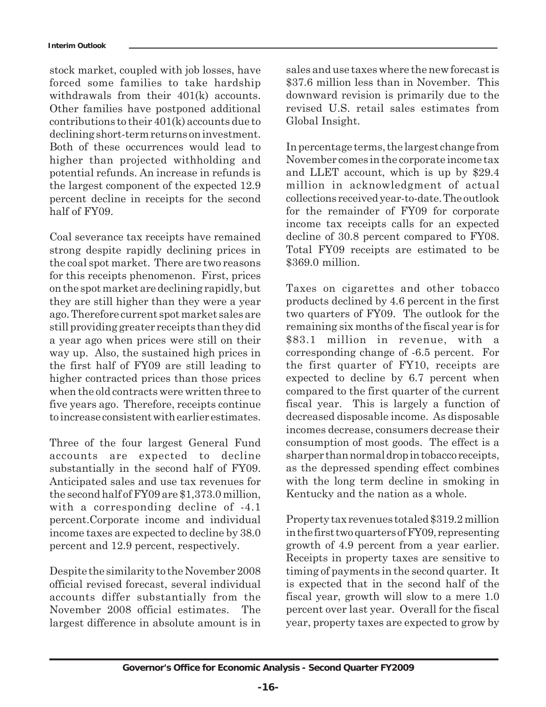stock market, coupled with job losses, have forced some families to take hardship withdrawals from their 401(k) accounts. Other families have postponed additional contributions to their 401(k) accounts due to declining short-term returns on investment. Both of these occurrences would lead to higher than projected withholding and potential refunds. An increase in refunds is the largest component of the expected 12.9 percent decline in receipts for the second half of FY09.

Coal severance tax receipts have remained strong despite rapidly declining prices in the coal spot market. There are two reasons for this receipts phenomenon. First, prices on the spot market are declining rapidly, but they are still higher than they were a year ago. Therefore current spot market sales are still providing greater receipts than they did a year ago when prices were still on their way up. Also, the sustained high prices in the first half of FY09 are still leading to higher contracted prices than those prices when the old contracts were written three to five years ago. Therefore, receipts continue to increase consistent with earlier estimates.

Three of the four largest General Fund accounts are expected to decline substantially in the second half of FY09. Anticipated sales and use tax revenues for the second half of FY09 are \$1,373.0 million, with a corresponding decline of -4.1 percent.Corporate income and individual income taxes are expected to decline by 38.0 percent and 12.9 percent, respectively.

Despite the similarity to the November 2008 official revised forecast, several individual accounts differ substantially from the November 2008 official estimates. The largest difference in absolute amount is in

sales and use taxes where the new forecast is \$37.6 million less than in November. This downward revision is primarily due to the revised U.S. retail sales estimates from Global Insight.

In percentage terms, the largest change from November comes in the corporate income tax and LLET account, which is up by \$29.4 million in acknowledgment of actual collections received year-to-date. The outlook for the remainder of FY09 for corporate income tax receipts calls for an expected decline of 30.8 percent compared to FY08. Total FY09 receipts are estimated to be \$369.0 million.

Taxes on cigarettes and other tobacco products declined by 4.6 percent in the first two quarters of FY09. The outlook for the remaining six months of the fiscal year is for \$83.1 million in revenue, with a corresponding change of -6.5 percent. For the first quarter of FY10, receipts are expected to decline by 6.7 percent when compared to the first quarter of the current fiscal year. This is largely a function of decreased disposable income. As disposable incomes decrease, consumers decrease their consumption of most goods. The effect is a sharper than normal drop in tobacco receipts, as the depressed spending effect combines with the long term decline in smoking in Kentucky and the nation as a whole.

Property tax revenues totaled \$319.2 million in the first two quarters of FY09, representing growth of 4.9 percent from a year earlier. Receipts in property taxes are sensitive to timing of payments in the second quarter. It is expected that in the second half of the fiscal year, growth will slow to a mere 1.0 percent over last year. Overall for the fiscal year, property taxes are expected to grow by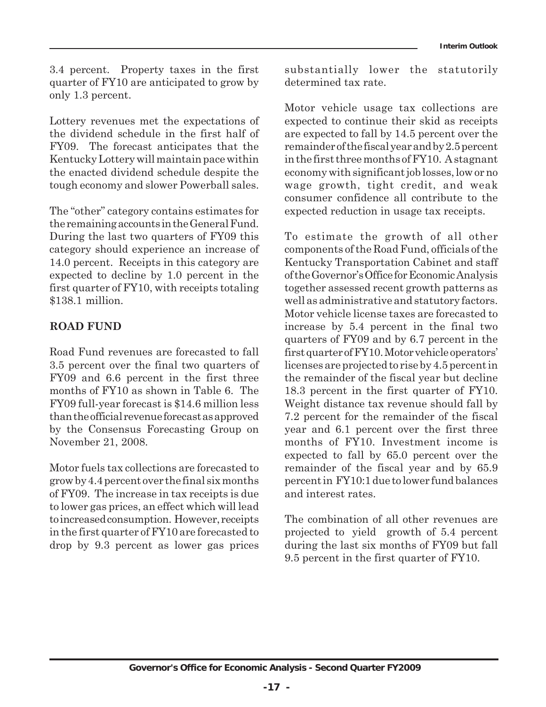3.4 percent. Property taxes in the first quarter of FY10 are anticipated to grow by only 1.3 percent.

Lottery revenues met the expectations of the dividend schedule in the first half of FY09. The forecast anticipates that the Kentucky Lottery will maintain pace within the enacted dividend schedule despite the tough economy and slower Powerball sales.

The "other" category contains estimates for the remaining accounts in the General Fund. During the last two quarters of FY09 this category should experience an increase of 14.0 percent. Receipts in this category are expected to decline by 1.0 percent in the first quarter of FY10, with receipts totaling \$138.1 million.

#### **ROAD FUND**

Road Fund revenues are forecasted to fall 3.5 percent over the final two quarters of FY09 and 6.6 percent in the first three months of FY10 as shown in Table 6. The FY09 full-year forecast is \$14.6 million less than the official revenue forecast as approved by the Consensus Forecasting Group on November 21, 2008.

Motor fuels tax collections are forecasted to grow by 4.4 percent over the final six months of FY09. The increase in tax receipts is due to lower gas prices, an effect which will lead to increased consumption. However, receipts in the first quarter of FY10 are forecasted to drop by 9.3 percent as lower gas prices substantially lower the statutorily determined tax rate.

 $\mu$ , and  $\mu$  are Revenue Report First Quarter and Motor vehicle usage tax collections are expected to continue their skid as receipts are expected to fall by 14.5 percent over the remainder of the fiscal year and by 2.5 percent in the first three months of FY10. A stagnant economy with significant job losses, low or no wage growth, tight credit, and weak consumer confidence all contribute to the expected reduction in usage tax receipts.

> To estimate the growth of all other components of the Road Fund, officials of the Kentucky Transportation Cabinet and staff of the Governor's Office for Economic Analysis together assessed recent growth patterns as well as administrative and statutory factors. Motor vehicle license taxes are forecasted to increase by 5.4 percent in the final two quarters of FY09 and by 6.7 percent in the first quarter of FY10. Motor vehicle operators' licenses are projected to rise by 4.5 percent in the remainder of the fiscal year but decline 18.3 percent in the first quarter of FY10. Weight distance tax revenue should fall by 7.2 percent for the remainder of the fiscal year and 6.1 percent over the first three months of FY10. Investment income is expected to fall by 65.0 percent over the remainder of the fiscal year and by 65.9 percent in FY10:1 due to lower fund balances and interest rates.

> The combination of all other revenues are projected to yield growth of 5.4 percent during the last six months of FY09 but fall 9.5 percent in the first quarter of FY10.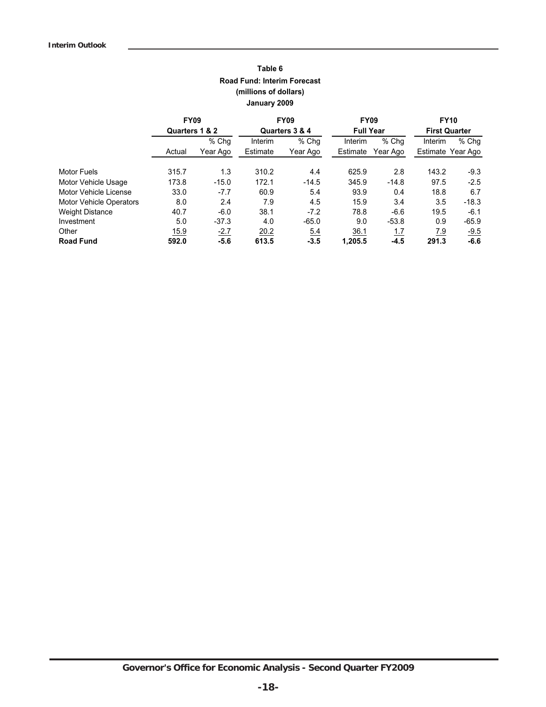| Table 6                            |
|------------------------------------|
| <b>Road Fund: Interim Forecast</b> |
| (millions of dollars)              |
| January 2009                       |
|                                    |

|                         | <b>FY09</b><br>Quarters 1 & 2 |          |                | <b>FY09</b> |                  | <b>FY09</b> | <b>FY10</b>          |                   |
|-------------------------|-------------------------------|----------|----------------|-------------|------------------|-------------|----------------------|-------------------|
|                         |                               |          | Quarters 3 & 4 |             | <b>Full Year</b> |             | <b>First Quarter</b> |                   |
|                         |                               | $%$ Chq  | Interim        | $%$ Chq     | Interim          | $%$ Chq     | Interim              | % Chg             |
|                         | Actual                        | Year Ago | Estimate       | Year Ago    | Estimate         | Year Ago    |                      | Estimate Year Ago |
| Motor Fuels             | 315.7                         | 1.3      | 310.2          | 4.4         | 625.9            | 2.8         | 143.2                | $-9.3$            |
| Motor Vehicle Usage     | 173.8                         | $-15.0$  | 172.1          | $-14.5$     | 345.9            | $-14.8$     | 97.5                 | $-2.5$            |
| Motor Vehicle License   | 33.0                          | $-7.7$   | 60.9           | 5.4         | 93.9             | 0.4         | 18.8                 | 6.7               |
| Motor Vehicle Operators | 8.0                           | 2.4      | 7.9            | 4.5         | 15.9             | 3.4         | 3.5                  | $-18.3$           |
| Weight Distance         | 40.7                          | $-6.0$   | 38.1           | $-7.2$      | 78.8             | $-6.6$      | 19.5                 | $-6.1$            |
| Investment              | 5.0                           | $-37.3$  | 4.0            | $-65.0$     | 9.0              | $-53.8$     | 0.9                  | $-65.9$           |
| Other                   | 15.9                          | $-2.7$   | 20.2           | 5.4         | 36.1             | 1.7         | 7.9                  | $-9.5$            |
| <b>Road Fund</b>        | 592.0                         | $-5.6$   | 613.5          | $-3.5$      | 1.205.5          | $-4.5$      | 291.3                | $-6.6$            |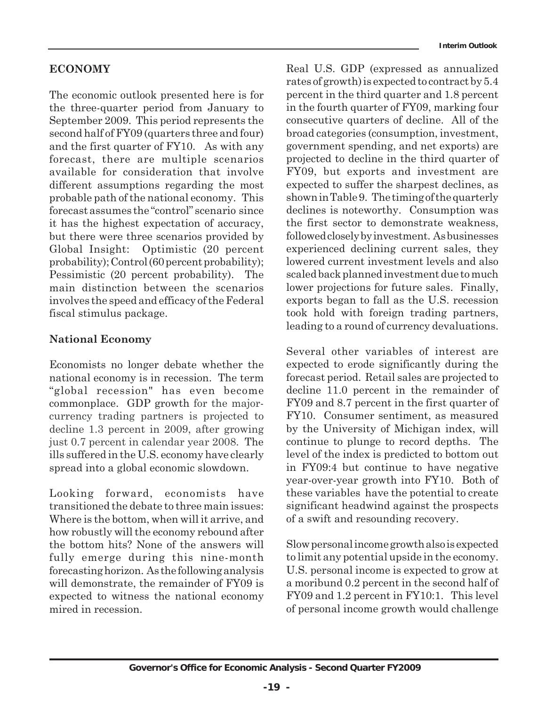#### **ECONOMY**

the three-quarter period from January to in the fourth quarter of FY09, marking fourthermore, the three-quarter period from January to in the fourth quarter of FY09, marking fourth The economic outlook presented here is for September 2009. This period represents the second half of FY09 (quarters three and four) and the first quarter of FY10. As with any forecast, there are multiple scenarios available for consideration that involve different assumptions regarding the most probable path of the national economy. This forecast assumes the "control" scenario since it has the highest expectation of accuracy, but there were three scenarios provided by Global Insight: Optimistic (20 percent probability); Control (60 percent probability); Pessimistic (20 percent probability). The main distinction between the scenarios involves the speed and efficacy of the Federal fiscal stimulus package.

#### **National Economy**

Economists no longer debate whether the national economy is in recession. The term "global recession" has even become commonplace. GDP growth for the majorcurrency trading partners is projected to decline 1.3 percent in 2009, after growing just 0.7 percent in calendar year 2008. The ills suffered in the U.S. economy have clearly spread into a global economic slowdown.

Looking forward, economists have transitioned the debate to three main issues: Where is the bottom, when will it arrive, and how robustly will the economy rebound after the bottom hits? None of the answers will fully emerge during this nine-month forecasting horizon. As the following analysis will demonstrate, the remainder of FY09 is expected to witness the national economy mired in recession.

Real U.S. GDP (expressed as annualized rates of growth) is expected to contract by 5.4 percent in the third quarter and 1.8 percent in the fourth quarter of FY09, marking four consecutive quarters of decline. All of the broad categories (consumption, investment, government spending, and net exports) are projected to decline in the third quarter of FY09, but exports and investment are expected to suffer the sharpest declines, as shown in Table 9. The timing of the quarterly declines is noteworthy. Consumption was the first sector to demonstrate weakness, followed closely by investment. As businesses experienced declining current sales, they lowered current investment levels and also scaled back planned investment due to much lower projections for future sales. Finally, exports began to fall as the U.S. recession took hold with foreign trading partners, leading to a round of currency devaluations.

Several other variables of interest are expected to erode significantly during the forecast period. Retail sales are projected to decline 11.0 percent in the remainder of FY09 and 8.7 percent in the first quarter of FY10. Consumer sentiment, as measured by the University of Michigan index, will continue to plunge to record depths. The level of the index is predicted to bottom out in FY09:4 but continue to have negative year-over-year growth into FY10. Both of these variables have the potential to create significant headwind against the prospects of a swift and resounding recovery.

Slow personal income growth also is expected to limit any potential upside in the economy. U.S. personal income is expected to grow at a moribund 0.2 percent in the second half of FY09 and 1.2 percent in FY10:1. This level of personal income growth would challenge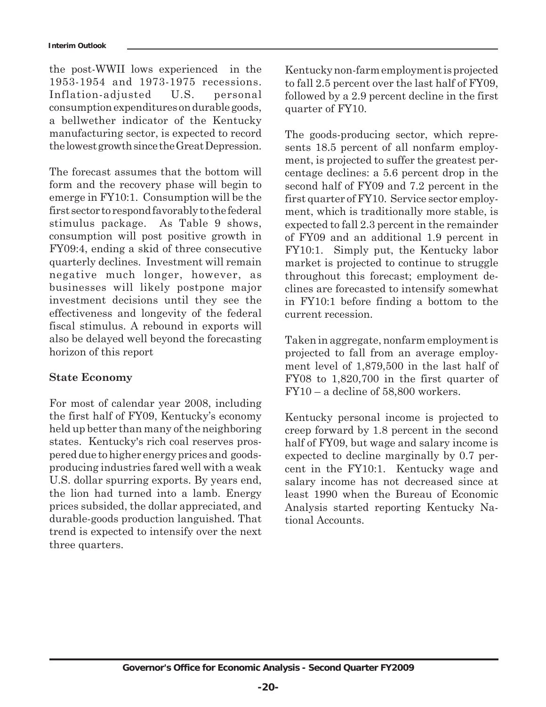the post-WWII lows experienced in the 1953-1954 and 1973-1975 recessions. Inflation-adjusted U.S. personal consumption expenditures on durable goods, a bellwether indicator of the Kentucky manufacturing sector, is expected to record the lowest growth since the Great Depression.

The forecast assumes that the bottom will form and the recovery phase will begin to emerge in FY10:1. Consumption will be the first sector to respond favorably to the federal stimulus package. As Table 9 shows, consumption will post positive growth in FY09:4, ending a skid of three consecutive quarterly declines. Investment will remain negative much longer, however, as businesses will likely postpone major investment decisions until they see the effectiveness and longevity of the federal fiscal stimulus. A rebound in exports will also be delayed well beyond the forecasting horizon of this report

#### **State Economy**

For most of calendar year 2008, including the first half of FY09, Kentucky's economy held up better than many of the neighboring states. Kentucky's rich coal reserves prospered due to higher energy prices and goodsproducing industries fared well with a weak U.S. dollar spurring exports. By years end, the lion had turned into a lamb. Energy prices subsided, the dollar appreciated, and durable-goods production languished. That trend is expected to intensify over the next three quarters.

Kentucky non-farm employment is projected to fall 2.5 percent over the last half of FY09, followed by a 2.9 percent decline in the first quarter of FY10.

The goods-producing sector, which represents 18.5 percent of all nonfarm employment, is projected to suffer the greatest percentage declines: a 5.6 percent drop in the second half of FY09 and 7.2 percent in the first quarter of FY10. Service sector employment, which is traditionally more stable, is expected to fall 2.3 percent in the remainder of FY09 and an additional 1.9 percent in FY10:1. Simply put, the Kentucky labor market is projected to continue to struggle throughout this forecast; employment declines are forecasted to intensify somewhat in FY10:1 before finding a bottom to the current recession.

Taken in aggregate, nonfarm employment is projected to fall from an average employment level of 1,879,500 in the last half of FY08 to 1,820,700 in the first quarter of FY10 – a decline of 58,800 workers.

Kentucky personal income is projected to creep forward by 1.8 percent in the second half of FY09, but wage and salary income is expected to decline marginally by 0.7 percent in the FY10:1. Kentucky wage and salary income has not decreased since at least 1990 when the Bureau of Economic Analysis started reporting Kentucky National Accounts.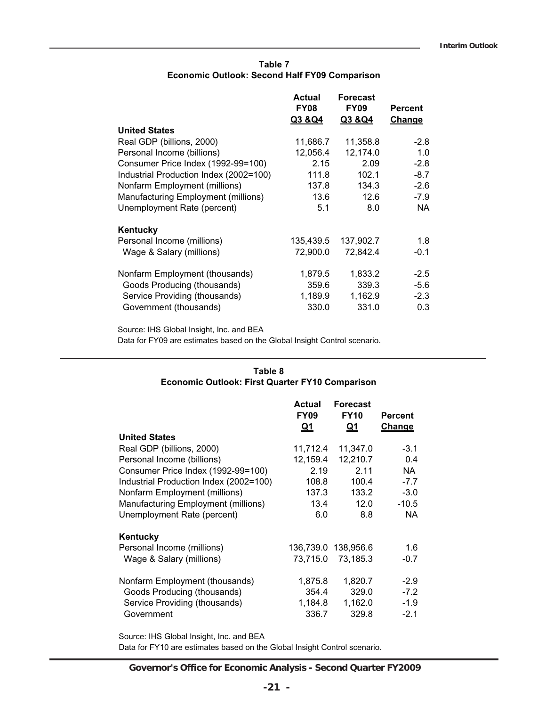| <b>Actual</b> | <b>Forecast</b> |                                 |
|---------------|-----------------|---------------------------------|
| <b>FY08</b>   | <b>FY09</b>     | <b>Percent</b>                  |
| Q3 & Q4       | Q3 & Q4         | <b>Change</b>                   |
|               |                 |                                 |
| 11,686.7      | 11,358.8        | $-2.8$                          |
|               | 12,174.0        | 1.0                             |
| 2.15          | 2.09            | $-2.8$                          |
| 111.8         | 102.1           | $-8.7$                          |
| 137.8         | 134.3           | $-2.6$                          |
| 13.6          | 12.6            | $-7.9$                          |
| 5.1           | 8.0             | <b>NA</b>                       |
|               |                 |                                 |
| 135,439.5     | 137,902.7       | 1.8                             |
|               | 72,842.4        | $-0.1$                          |
| 1,879.5       | 1,833.2         | $-2.5$                          |
| 359.6         | 339.3           | $-5.6$                          |
|               | 1,162.9         | $-2.3$                          |
| 330.0         | 331.0           | 0.3                             |
|               |                 | 12,056.4<br>72,900.0<br>1,189.9 |

#### **Table 7 Economic Outlook: Second Half FY09 Comparison**

Source: IHS Global Insight, Inc. and BEA

Data for FY09 are estimates based on the Global Insight Control scenario.

#### **Table 8 Economic Outlook: First Quarter FY10 Comparison**

|                                        | <b>Actual</b><br>FY09<br><u>Q1</u> | <b>Forecast</b><br><b>FY10</b><br>Q1 | <b>Percent</b><br>Change |
|----------------------------------------|------------------------------------|--------------------------------------|--------------------------|
| <b>United States</b>                   |                                    |                                      |                          |
| Real GDP (billions, 2000)              | 11,712.4                           | 11,347.0                             | $-3.1$                   |
| Personal Income (billions)             | 12,159.4                           | 12,210.7                             | 0.4                      |
| Consumer Price Index (1992-99=100)     | 2.19                               | 2.11                                 | NA.                      |
| Industrial Production Index (2002=100) | 108.8                              | 100.4                                | $-7.7$                   |
| Nonfarm Employment (millions)          | 137.3                              | 133.2                                | $-3.0$                   |
| Manufacturing Employment (millions)    | 13.4                               | 12.0                                 | $-10.5$                  |
| Unemployment Rate (percent)            | 6.0                                | 8.8                                  | NA.                      |
| Kentucky                               |                                    |                                      |                          |
| Personal Income (millions)             |                                    | 136,739.0 138,956.6                  | 1.6                      |
| Wage & Salary (millions)               | 73,715.0                           | 73,185.3                             | $-0.7$                   |
| Nonfarm Employment (thousands)         | 1,875.8                            | 1,820.7                              | $-2.9$                   |
| Goods Producing (thousands)            | 354.4                              | 329.0                                | $-7.2$                   |
| Service Providing (thousands)          | 1,184.8                            | 1,162.0                              | $-1.9$                   |
| Government                             | 336.7                              | 329.8                                | $-2.1$                   |

Source: IHS Global Insight, Inc. and BEA

Data for FY10 are estimates based on the Global Insight Control scenario.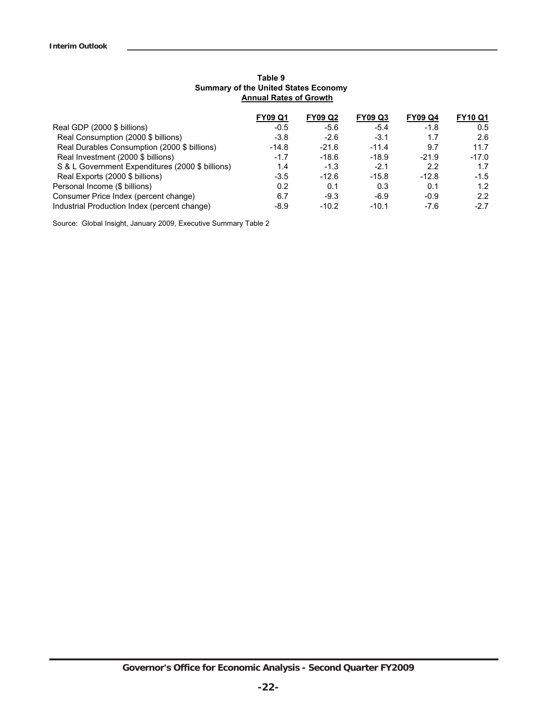|                                                  | <b>FY09 Q1</b> | <b>FY09 Q2</b> | <b>FY09 Q3</b> | <b>FY09 Q4</b> | <b>FY10 Q1</b> |
|--------------------------------------------------|----------------|----------------|----------------|----------------|----------------|
| Real GDP (2000 \$ billions)                      | $-0.5$         | $-5.6$         | $-5.4$         | $-1.8$         | 0.5            |
| Real Consumption (2000 \$ billions)              | $-3.8$         | $-2.6$         | $-3.1$         | 1.7            | 2.6            |
| Real Durables Consumption (2000 \$ billions)     | $-14.8$        | $-21.6$        | $-11.4$        | 9.7            | 11.7           |
| Real Investment (2000 \$ billions)               | $-1.7$         | $-18.6$        | $-18.9$        | $-21.9$        | $-17.0$        |
| S & L Government Expenditures (2000 \$ billions) | 1.4            | $-1.3$         | $-2.1$         | 2.2            | 1.7            |
| Real Exports (2000 \$ billions)                  | $-3.5$         | $-12.6$        | $-15.8$        | $-12.8$        | $-1.5$         |
| Personal Income (\$ billions)                    | 0.2            | 0.1            | 0.3            | 0.1            | 1.2            |
| Consumer Price Index (percent change)            | 6.7            | $-9.3$         | -6.9           | $-0.9$         | 2.2            |
| Industrial Production Index (percent change)     | $-8.9$         | $-10.2$        | $-10.1$        | $-7.6$         | $-2.7$         |

#### **Annual Rates of Growth Summary of the United States Economy Table 9**

Source: Global Insight, January 2009, Executive Summary Table 2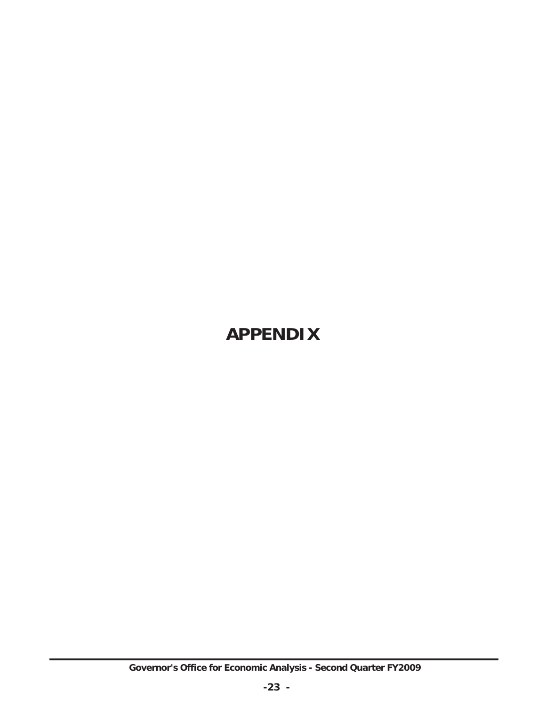### **APPENDIX**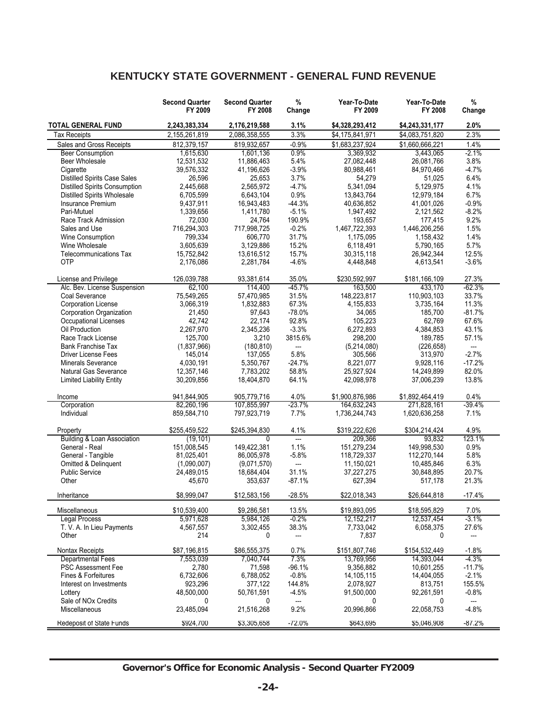#### **KENTUCKY STATE GOVERNMENT - GENERAL FUND REVENUE**

| 2.0%<br><b>TOTAL GENERAL FUND</b><br>2,243,383,334<br>2,176,219,588<br>3.1%<br>\$4,328,293,412<br>\$4,243,331,177<br>3.3%<br>2.3%<br><b>Tax Receipts</b><br>2,155,261,819<br>2,086,358,555<br>\$4,175,841,971<br>\$4,083,751,820<br>819,932,657<br>$-0.9%$<br>\$1,683,237,924<br>1.4%<br>Sales and Gross Receipts<br>812,379,157<br>\$1.660.666.221<br>0.9%<br>$-2.1%$<br><b>Beer Consumption</b><br>1,615,630<br>1,601,136<br>3,369,932<br>3,443,065<br>5.4%<br>3.8%<br><b>Beer Wholesale</b><br>12,531,532<br>11,886,463<br>27,082,448<br>26,081,766<br>$-3.9%$<br>Cigarette<br>39,576,332<br>41,196,626<br>80,988,461<br>84,970,466<br>$-4.7%$<br><b>Distilled Spirits Case Sales</b><br>3.7%<br>26,596<br>54,279<br>51,025<br>6.4%<br>25,653<br>$-4.7%$<br>4.1%<br><b>Distilled Spirits Consumption</b><br>2,565,972<br>2.445.668<br>5.341.094<br>5,129,975<br>0.9%<br>6.7%<br>Distilled Spirits Wholesale<br>6,705,599<br>6,643,104<br>13,843,764<br>12,979,184<br>$-0.9%$<br>Insurance Premium<br>9,437,911<br>16,943,483<br>$-44.3%$<br>40,636,852<br>41,001,026<br>$-5.1%$<br>$-8.2%$<br>1,339,656<br>1,411,780<br>Pari-Mutuel<br>1,947,492<br>2,121,562<br>190.9%<br>9.2%<br>Race Track Admission<br>72,030<br>24,764<br>193,657<br>177,415<br>$-0.2%$<br>1.5%<br>716,294,303<br>717,998,725<br>1,467,722,393<br>1,446,206,256<br>Sales and Use<br>31.7%<br>799,334<br>606,770<br>1,175,095<br>1,158,432<br>1.4%<br>Wine Consumption<br>5.7%<br>Wine Wholesale<br>15.2%<br>3,605,639<br>3,129,886<br>6,118,491<br>5,790,165<br>15.7%<br>12.5%<br>Telecommunications Tax<br>15,752,842<br>13,616,512<br>30,315,118<br>26,942,344<br><b>OTP</b><br>2,176,086<br>2,281,784<br>$-4.6%$<br>$-3.6%$<br>4,448,848<br>4,613,541<br>126,039,788<br>35.0%<br>\$230,592,997<br>27.3%<br>License and Privilege<br>93,381,614<br>\$181,166,109<br>$-45.7%$<br>$-62.3%$<br>Alc. Bev. License Suspension<br>62,100<br>114,400<br>163,500<br>433.170<br>75,549,265<br>57,470,985<br>31.5%<br>148,223,817<br>110,903,103<br>33.7%<br><b>Coal Severance</b><br>67.3%<br><b>Corporation License</b><br>3,066,319<br>1,832,883<br>11.3%<br>4.155.833<br>3,735,164<br>$-78.0%$<br>97,643<br>$-81.7%$<br>Corporation Organization<br>21,450<br>34,065<br>185.700<br>67.6%<br>Occupational Licenses<br>42,742<br>22,174<br>92.8%<br>105,223<br>62,769<br>$-3.3%$<br>Oil Production<br>2,267,970<br>2,345,236<br>6,272,893<br>4,384,853<br>43.1%<br>3815.6%<br>57.1%<br>125,700<br>3,210<br>298,200<br>189,785<br>Race Track License<br><b>Bank Franchise Tax</b><br>(1,837,966)<br>(180, 810)<br>(5,214,080)<br>(226, 658)<br>---<br>---<br>5.8%<br>$-2.7%$<br>145,014<br>137,055<br>305,566<br>313,970<br><b>Driver License Fees</b><br>4,030,191<br>5,350,767<br>$-24.7%$<br>9,928,116<br>$-17.2%$<br><b>Minerals Severance</b><br>8,221,077 |
|----------------------------------------------------------------------------------------------------------------------------------------------------------------------------------------------------------------------------------------------------------------------------------------------------------------------------------------------------------------------------------------------------------------------------------------------------------------------------------------------------------------------------------------------------------------------------------------------------------------------------------------------------------------------------------------------------------------------------------------------------------------------------------------------------------------------------------------------------------------------------------------------------------------------------------------------------------------------------------------------------------------------------------------------------------------------------------------------------------------------------------------------------------------------------------------------------------------------------------------------------------------------------------------------------------------------------------------------------------------------------------------------------------------------------------------------------------------------------------------------------------------------------------------------------------------------------------------------------------------------------------------------------------------------------------------------------------------------------------------------------------------------------------------------------------------------------------------------------------------------------------------------------------------------------------------------------------------------------------------------------------------------------------------------------------------------------------------------------------------------------------------------------------------------------------------------------------------------------------------------------------------------------------------------------------------------------------------------------------------------------------------------------------------------------------------------------------------------------------------------------------------------------------------------------------------------------------------------------------------------------------------------------------------------------------------------------------------------------------------------------------------------------------------------------------------------------------|
|                                                                                                                                                                                                                                                                                                                                                                                                                                                                                                                                                                                                                                                                                                                                                                                                                                                                                                                                                                                                                                                                                                                                                                                                                                                                                                                                                                                                                                                                                                                                                                                                                                                                                                                                                                                                                                                                                                                                                                                                                                                                                                                                                                                                                                                                                                                                                                                                                                                                                                                                                                                                                                                                                                                                                                                                                                  |
|                                                                                                                                                                                                                                                                                                                                                                                                                                                                                                                                                                                                                                                                                                                                                                                                                                                                                                                                                                                                                                                                                                                                                                                                                                                                                                                                                                                                                                                                                                                                                                                                                                                                                                                                                                                                                                                                                                                                                                                                                                                                                                                                                                                                                                                                                                                                                                                                                                                                                                                                                                                                                                                                                                                                                                                                                                  |
|                                                                                                                                                                                                                                                                                                                                                                                                                                                                                                                                                                                                                                                                                                                                                                                                                                                                                                                                                                                                                                                                                                                                                                                                                                                                                                                                                                                                                                                                                                                                                                                                                                                                                                                                                                                                                                                                                                                                                                                                                                                                                                                                                                                                                                                                                                                                                                                                                                                                                                                                                                                                                                                                                                                                                                                                                                  |
|                                                                                                                                                                                                                                                                                                                                                                                                                                                                                                                                                                                                                                                                                                                                                                                                                                                                                                                                                                                                                                                                                                                                                                                                                                                                                                                                                                                                                                                                                                                                                                                                                                                                                                                                                                                                                                                                                                                                                                                                                                                                                                                                                                                                                                                                                                                                                                                                                                                                                                                                                                                                                                                                                                                                                                                                                                  |
|                                                                                                                                                                                                                                                                                                                                                                                                                                                                                                                                                                                                                                                                                                                                                                                                                                                                                                                                                                                                                                                                                                                                                                                                                                                                                                                                                                                                                                                                                                                                                                                                                                                                                                                                                                                                                                                                                                                                                                                                                                                                                                                                                                                                                                                                                                                                                                                                                                                                                                                                                                                                                                                                                                                                                                                                                                  |
|                                                                                                                                                                                                                                                                                                                                                                                                                                                                                                                                                                                                                                                                                                                                                                                                                                                                                                                                                                                                                                                                                                                                                                                                                                                                                                                                                                                                                                                                                                                                                                                                                                                                                                                                                                                                                                                                                                                                                                                                                                                                                                                                                                                                                                                                                                                                                                                                                                                                                                                                                                                                                                                                                                                                                                                                                                  |
|                                                                                                                                                                                                                                                                                                                                                                                                                                                                                                                                                                                                                                                                                                                                                                                                                                                                                                                                                                                                                                                                                                                                                                                                                                                                                                                                                                                                                                                                                                                                                                                                                                                                                                                                                                                                                                                                                                                                                                                                                                                                                                                                                                                                                                                                                                                                                                                                                                                                                                                                                                                                                                                                                                                                                                                                                                  |
|                                                                                                                                                                                                                                                                                                                                                                                                                                                                                                                                                                                                                                                                                                                                                                                                                                                                                                                                                                                                                                                                                                                                                                                                                                                                                                                                                                                                                                                                                                                                                                                                                                                                                                                                                                                                                                                                                                                                                                                                                                                                                                                                                                                                                                                                                                                                                                                                                                                                                                                                                                                                                                                                                                                                                                                                                                  |
|                                                                                                                                                                                                                                                                                                                                                                                                                                                                                                                                                                                                                                                                                                                                                                                                                                                                                                                                                                                                                                                                                                                                                                                                                                                                                                                                                                                                                                                                                                                                                                                                                                                                                                                                                                                                                                                                                                                                                                                                                                                                                                                                                                                                                                                                                                                                                                                                                                                                                                                                                                                                                                                                                                                                                                                                                                  |
|                                                                                                                                                                                                                                                                                                                                                                                                                                                                                                                                                                                                                                                                                                                                                                                                                                                                                                                                                                                                                                                                                                                                                                                                                                                                                                                                                                                                                                                                                                                                                                                                                                                                                                                                                                                                                                                                                                                                                                                                                                                                                                                                                                                                                                                                                                                                                                                                                                                                                                                                                                                                                                                                                                                                                                                                                                  |
|                                                                                                                                                                                                                                                                                                                                                                                                                                                                                                                                                                                                                                                                                                                                                                                                                                                                                                                                                                                                                                                                                                                                                                                                                                                                                                                                                                                                                                                                                                                                                                                                                                                                                                                                                                                                                                                                                                                                                                                                                                                                                                                                                                                                                                                                                                                                                                                                                                                                                                                                                                                                                                                                                                                                                                                                                                  |
|                                                                                                                                                                                                                                                                                                                                                                                                                                                                                                                                                                                                                                                                                                                                                                                                                                                                                                                                                                                                                                                                                                                                                                                                                                                                                                                                                                                                                                                                                                                                                                                                                                                                                                                                                                                                                                                                                                                                                                                                                                                                                                                                                                                                                                                                                                                                                                                                                                                                                                                                                                                                                                                                                                                                                                                                                                  |
|                                                                                                                                                                                                                                                                                                                                                                                                                                                                                                                                                                                                                                                                                                                                                                                                                                                                                                                                                                                                                                                                                                                                                                                                                                                                                                                                                                                                                                                                                                                                                                                                                                                                                                                                                                                                                                                                                                                                                                                                                                                                                                                                                                                                                                                                                                                                                                                                                                                                                                                                                                                                                                                                                                                                                                                                                                  |
|                                                                                                                                                                                                                                                                                                                                                                                                                                                                                                                                                                                                                                                                                                                                                                                                                                                                                                                                                                                                                                                                                                                                                                                                                                                                                                                                                                                                                                                                                                                                                                                                                                                                                                                                                                                                                                                                                                                                                                                                                                                                                                                                                                                                                                                                                                                                                                                                                                                                                                                                                                                                                                                                                                                                                                                                                                  |
|                                                                                                                                                                                                                                                                                                                                                                                                                                                                                                                                                                                                                                                                                                                                                                                                                                                                                                                                                                                                                                                                                                                                                                                                                                                                                                                                                                                                                                                                                                                                                                                                                                                                                                                                                                                                                                                                                                                                                                                                                                                                                                                                                                                                                                                                                                                                                                                                                                                                                                                                                                                                                                                                                                                                                                                                                                  |
|                                                                                                                                                                                                                                                                                                                                                                                                                                                                                                                                                                                                                                                                                                                                                                                                                                                                                                                                                                                                                                                                                                                                                                                                                                                                                                                                                                                                                                                                                                                                                                                                                                                                                                                                                                                                                                                                                                                                                                                                                                                                                                                                                                                                                                                                                                                                                                                                                                                                                                                                                                                                                                                                                                                                                                                                                                  |
|                                                                                                                                                                                                                                                                                                                                                                                                                                                                                                                                                                                                                                                                                                                                                                                                                                                                                                                                                                                                                                                                                                                                                                                                                                                                                                                                                                                                                                                                                                                                                                                                                                                                                                                                                                                                                                                                                                                                                                                                                                                                                                                                                                                                                                                                                                                                                                                                                                                                                                                                                                                                                                                                                                                                                                                                                                  |
|                                                                                                                                                                                                                                                                                                                                                                                                                                                                                                                                                                                                                                                                                                                                                                                                                                                                                                                                                                                                                                                                                                                                                                                                                                                                                                                                                                                                                                                                                                                                                                                                                                                                                                                                                                                                                                                                                                                                                                                                                                                                                                                                                                                                                                                                                                                                                                                                                                                                                                                                                                                                                                                                                                                                                                                                                                  |
|                                                                                                                                                                                                                                                                                                                                                                                                                                                                                                                                                                                                                                                                                                                                                                                                                                                                                                                                                                                                                                                                                                                                                                                                                                                                                                                                                                                                                                                                                                                                                                                                                                                                                                                                                                                                                                                                                                                                                                                                                                                                                                                                                                                                                                                                                                                                                                                                                                                                                                                                                                                                                                                                                                                                                                                                                                  |
|                                                                                                                                                                                                                                                                                                                                                                                                                                                                                                                                                                                                                                                                                                                                                                                                                                                                                                                                                                                                                                                                                                                                                                                                                                                                                                                                                                                                                                                                                                                                                                                                                                                                                                                                                                                                                                                                                                                                                                                                                                                                                                                                                                                                                                                                                                                                                                                                                                                                                                                                                                                                                                                                                                                                                                                                                                  |
|                                                                                                                                                                                                                                                                                                                                                                                                                                                                                                                                                                                                                                                                                                                                                                                                                                                                                                                                                                                                                                                                                                                                                                                                                                                                                                                                                                                                                                                                                                                                                                                                                                                                                                                                                                                                                                                                                                                                                                                                                                                                                                                                                                                                                                                                                                                                                                                                                                                                                                                                                                                                                                                                                                                                                                                                                                  |
|                                                                                                                                                                                                                                                                                                                                                                                                                                                                                                                                                                                                                                                                                                                                                                                                                                                                                                                                                                                                                                                                                                                                                                                                                                                                                                                                                                                                                                                                                                                                                                                                                                                                                                                                                                                                                                                                                                                                                                                                                                                                                                                                                                                                                                                                                                                                                                                                                                                                                                                                                                                                                                                                                                                                                                                                                                  |
|                                                                                                                                                                                                                                                                                                                                                                                                                                                                                                                                                                                                                                                                                                                                                                                                                                                                                                                                                                                                                                                                                                                                                                                                                                                                                                                                                                                                                                                                                                                                                                                                                                                                                                                                                                                                                                                                                                                                                                                                                                                                                                                                                                                                                                                                                                                                                                                                                                                                                                                                                                                                                                                                                                                                                                                                                                  |
|                                                                                                                                                                                                                                                                                                                                                                                                                                                                                                                                                                                                                                                                                                                                                                                                                                                                                                                                                                                                                                                                                                                                                                                                                                                                                                                                                                                                                                                                                                                                                                                                                                                                                                                                                                                                                                                                                                                                                                                                                                                                                                                                                                                                                                                                                                                                                                                                                                                                                                                                                                                                                                                                                                                                                                                                                                  |
|                                                                                                                                                                                                                                                                                                                                                                                                                                                                                                                                                                                                                                                                                                                                                                                                                                                                                                                                                                                                                                                                                                                                                                                                                                                                                                                                                                                                                                                                                                                                                                                                                                                                                                                                                                                                                                                                                                                                                                                                                                                                                                                                                                                                                                                                                                                                                                                                                                                                                                                                                                                                                                                                                                                                                                                                                                  |
|                                                                                                                                                                                                                                                                                                                                                                                                                                                                                                                                                                                                                                                                                                                                                                                                                                                                                                                                                                                                                                                                                                                                                                                                                                                                                                                                                                                                                                                                                                                                                                                                                                                                                                                                                                                                                                                                                                                                                                                                                                                                                                                                                                                                                                                                                                                                                                                                                                                                                                                                                                                                                                                                                                                                                                                                                                  |
|                                                                                                                                                                                                                                                                                                                                                                                                                                                                                                                                                                                                                                                                                                                                                                                                                                                                                                                                                                                                                                                                                                                                                                                                                                                                                                                                                                                                                                                                                                                                                                                                                                                                                                                                                                                                                                                                                                                                                                                                                                                                                                                                                                                                                                                                                                                                                                                                                                                                                                                                                                                                                                                                                                                                                                                                                                  |
|                                                                                                                                                                                                                                                                                                                                                                                                                                                                                                                                                                                                                                                                                                                                                                                                                                                                                                                                                                                                                                                                                                                                                                                                                                                                                                                                                                                                                                                                                                                                                                                                                                                                                                                                                                                                                                                                                                                                                                                                                                                                                                                                                                                                                                                                                                                                                                                                                                                                                                                                                                                                                                                                                                                                                                                                                                  |
|                                                                                                                                                                                                                                                                                                                                                                                                                                                                                                                                                                                                                                                                                                                                                                                                                                                                                                                                                                                                                                                                                                                                                                                                                                                                                                                                                                                                                                                                                                                                                                                                                                                                                                                                                                                                                                                                                                                                                                                                                                                                                                                                                                                                                                                                                                                                                                                                                                                                                                                                                                                                                                                                                                                                                                                                                                  |
| 82.0%<br>58.8%<br>Natural Gas Severance<br>12,357,146<br>7,783,202<br>25,927,924<br>14,249,899                                                                                                                                                                                                                                                                                                                                                                                                                                                                                                                                                                                                                                                                                                                                                                                                                                                                                                                                                                                                                                                                                                                                                                                                                                                                                                                                                                                                                                                                                                                                                                                                                                                                                                                                                                                                                                                                                                                                                                                                                                                                                                                                                                                                                                                                                                                                                                                                                                                                                                                                                                                                                                                                                                                                   |
| 30,209,856<br>18,404,870<br>64.1%<br>42,098,978<br>37,006,239<br>13.8%                                                                                                                                                                                                                                                                                                                                                                                                                                                                                                                                                                                                                                                                                                                                                                                                                                                                                                                                                                                                                                                                                                                                                                                                                                                                                                                                                                                                                                                                                                                                                                                                                                                                                                                                                                                                                                                                                                                                                                                                                                                                                                                                                                                                                                                                                                                                                                                                                                                                                                                                                                                                                                                                                                                                                           |
| <b>Limited Liability Entity</b>                                                                                                                                                                                                                                                                                                                                                                                                                                                                                                                                                                                                                                                                                                                                                                                                                                                                                                                                                                                                                                                                                                                                                                                                                                                                                                                                                                                                                                                                                                                                                                                                                                                                                                                                                                                                                                                                                                                                                                                                                                                                                                                                                                                                                                                                                                                                                                                                                                                                                                                                                                                                                                                                                                                                                                                                  |
| 4.0%<br>\$1,900,876,986<br>0.4%<br>941,844,905<br>905,779,716<br>\$1,892,464,419<br>Income                                                                                                                                                                                                                                                                                                                                                                                                                                                                                                                                                                                                                                                                                                                                                                                                                                                                                                                                                                                                                                                                                                                                                                                                                                                                                                                                                                                                                                                                                                                                                                                                                                                                                                                                                                                                                                                                                                                                                                                                                                                                                                                                                                                                                                                                                                                                                                                                                                                                                                                                                                                                                                                                                                                                       |
| $-23.7%$<br>-39.4%<br>Corporation<br>82,260,196<br>107,855,997<br>164,632,243<br>271,828,161                                                                                                                                                                                                                                                                                                                                                                                                                                                                                                                                                                                                                                                                                                                                                                                                                                                                                                                                                                                                                                                                                                                                                                                                                                                                                                                                                                                                                                                                                                                                                                                                                                                                                                                                                                                                                                                                                                                                                                                                                                                                                                                                                                                                                                                                                                                                                                                                                                                                                                                                                                                                                                                                                                                                     |
| Individual<br>7.7%<br>7.1%<br>859,584,710<br>797,923,719<br>1,736,244,743<br>1,620,636,258                                                                                                                                                                                                                                                                                                                                                                                                                                                                                                                                                                                                                                                                                                                                                                                                                                                                                                                                                                                                                                                                                                                                                                                                                                                                                                                                                                                                                                                                                                                                                                                                                                                                                                                                                                                                                                                                                                                                                                                                                                                                                                                                                                                                                                                                                                                                                                                                                                                                                                                                                                                                                                                                                                                                       |
| \$255,459,522<br>4.1%<br>\$319,222,626<br>\$304,214,424<br>4.9%<br>\$245,394,830<br>Property                                                                                                                                                                                                                                                                                                                                                                                                                                                                                                                                                                                                                                                                                                                                                                                                                                                                                                                                                                                                                                                                                                                                                                                                                                                                                                                                                                                                                                                                                                                                                                                                                                                                                                                                                                                                                                                                                                                                                                                                                                                                                                                                                                                                                                                                                                                                                                                                                                                                                                                                                                                                                                                                                                                                     |
| Building & Loan Association<br>209,366<br>93,832<br>123.1%<br>(19, 101)<br>0<br>$\overline{a}$                                                                                                                                                                                                                                                                                                                                                                                                                                                                                                                                                                                                                                                                                                                                                                                                                                                                                                                                                                                                                                                                                                                                                                                                                                                                                                                                                                                                                                                                                                                                                                                                                                                                                                                                                                                                                                                                                                                                                                                                                                                                                                                                                                                                                                                                                                                                                                                                                                                                                                                                                                                                                                                                                                                                   |
| 1.1%<br>149,422,381<br>151,279,234<br>149,998,530<br>0.9%<br>General - Real<br>151,008,545                                                                                                                                                                                                                                                                                                                                                                                                                                                                                                                                                                                                                                                                                                                                                                                                                                                                                                                                                                                                                                                                                                                                                                                                                                                                                                                                                                                                                                                                                                                                                                                                                                                                                                                                                                                                                                                                                                                                                                                                                                                                                                                                                                                                                                                                                                                                                                                                                                                                                                                                                                                                                                                                                                                                       |
| 81,025,401<br>86,005,978<br>$-5.8%$<br>118,729,337<br>112,270,144<br>5.8%<br>General - Tangible                                                                                                                                                                                                                                                                                                                                                                                                                                                                                                                                                                                                                                                                                                                                                                                                                                                                                                                                                                                                                                                                                                                                                                                                                                                                                                                                                                                                                                                                                                                                                                                                                                                                                                                                                                                                                                                                                                                                                                                                                                                                                                                                                                                                                                                                                                                                                                                                                                                                                                                                                                                                                                                                                                                                  |
| 6.3%<br>Omitted & Delinguent<br>(1,090,007)<br>(9,071,570)<br>11,150,021<br>10,485,846<br>---                                                                                                                                                                                                                                                                                                                                                                                                                                                                                                                                                                                                                                                                                                                                                                                                                                                                                                                                                                                                                                                                                                                                                                                                                                                                                                                                                                                                                                                                                                                                                                                                                                                                                                                                                                                                                                                                                                                                                                                                                                                                                                                                                                                                                                                                                                                                                                                                                                                                                                                                                                                                                                                                                                                                    |
| 31.1%<br><b>Public Service</b><br>24,489,015<br>18,684,404<br>37,227,275<br>20.7%<br>30,848,895                                                                                                                                                                                                                                                                                                                                                                                                                                                                                                                                                                                                                                                                                                                                                                                                                                                                                                                                                                                                                                                                                                                                                                                                                                                                                                                                                                                                                                                                                                                                                                                                                                                                                                                                                                                                                                                                                                                                                                                                                                                                                                                                                                                                                                                                                                                                                                                                                                                                                                                                                                                                                                                                                                                                  |
| 353,637<br>$-87.1%$<br>21.3%<br>Other<br>45,670<br>627,394<br>517,178                                                                                                                                                                                                                                                                                                                                                                                                                                                                                                                                                                                                                                                                                                                                                                                                                                                                                                                                                                                                                                                                                                                                                                                                                                                                                                                                                                                                                                                                                                                                                                                                                                                                                                                                                                                                                                                                                                                                                                                                                                                                                                                                                                                                                                                                                                                                                                                                                                                                                                                                                                                                                                                                                                                                                            |
| \$8,999,047<br>\$12,583,156<br>$-28.5%$<br>\$22,018,343<br>\$26,644,818<br>$-17.4%$<br>Inheritance                                                                                                                                                                                                                                                                                                                                                                                                                                                                                                                                                                                                                                                                                                                                                                                                                                                                                                                                                                                                                                                                                                                                                                                                                                                                                                                                                                                                                                                                                                                                                                                                                                                                                                                                                                                                                                                                                                                                                                                                                                                                                                                                                                                                                                                                                                                                                                                                                                                                                                                                                                                                                                                                                                                               |
|                                                                                                                                                                                                                                                                                                                                                                                                                                                                                                                                                                                                                                                                                                                                                                                                                                                                                                                                                                                                                                                                                                                                                                                                                                                                                                                                                                                                                                                                                                                                                                                                                                                                                                                                                                                                                                                                                                                                                                                                                                                                                                                                                                                                                                                                                                                                                                                                                                                                                                                                                                                                                                                                                                                                                                                                                                  |
| \$10,539,400<br>\$9,286,581<br>13.5%<br>\$19,893,095<br>\$18,595,829<br>7.0%<br>Miscellaneous                                                                                                                                                                                                                                                                                                                                                                                                                                                                                                                                                                                                                                                                                                                                                                                                                                                                                                                                                                                                                                                                                                                                                                                                                                                                                                                                                                                                                                                                                                                                                                                                                                                                                                                                                                                                                                                                                                                                                                                                                                                                                                                                                                                                                                                                                                                                                                                                                                                                                                                                                                                                                                                                                                                                    |
| 12,152,217<br>$-3.1%$<br><b>Legal Process</b><br>5,971,628<br>5,984,126<br>$-0.2%$<br>12,537,454                                                                                                                                                                                                                                                                                                                                                                                                                                                                                                                                                                                                                                                                                                                                                                                                                                                                                                                                                                                                                                                                                                                                                                                                                                                                                                                                                                                                                                                                                                                                                                                                                                                                                                                                                                                                                                                                                                                                                                                                                                                                                                                                                                                                                                                                                                                                                                                                                                                                                                                                                                                                                                                                                                                                 |
| T. V. A. In Lieu Payments<br>38.3%<br>7,733,042<br>27.6%<br>4,567,557<br>3,302,455<br>6,058,375                                                                                                                                                                                                                                                                                                                                                                                                                                                                                                                                                                                                                                                                                                                                                                                                                                                                                                                                                                                                                                                                                                                                                                                                                                                                                                                                                                                                                                                                                                                                                                                                                                                                                                                                                                                                                                                                                                                                                                                                                                                                                                                                                                                                                                                                                                                                                                                                                                                                                                                                                                                                                                                                                                                                  |
| 214<br>7,837<br>Other<br>0<br>---<br>0<br>---                                                                                                                                                                                                                                                                                                                                                                                                                                                                                                                                                                                                                                                                                                                                                                                                                                                                                                                                                                                                                                                                                                                                                                                                                                                                                                                                                                                                                                                                                                                                                                                                                                                                                                                                                                                                                                                                                                                                                                                                                                                                                                                                                                                                                                                                                                                                                                                                                                                                                                                                                                                                                                                                                                                                                                                    |
| Nontax Receipts<br>\$87,196,815<br>\$86,555,375<br>0.7%<br>\$151,807,746<br>\$154,532,449<br>$-1.8%$                                                                                                                                                                                                                                                                                                                                                                                                                                                                                                                                                                                                                                                                                                                                                                                                                                                                                                                                                                                                                                                                                                                                                                                                                                                                                                                                                                                                                                                                                                                                                                                                                                                                                                                                                                                                                                                                                                                                                                                                                                                                                                                                                                                                                                                                                                                                                                                                                                                                                                                                                                                                                                                                                                                             |
| <b>Departmental Fees</b><br>7.3%<br>$-4.3%$<br>7,553,039<br>7,040,744<br>13,769,956<br>14,393,044                                                                                                                                                                                                                                                                                                                                                                                                                                                                                                                                                                                                                                                                                                                                                                                                                                                                                                                                                                                                                                                                                                                                                                                                                                                                                                                                                                                                                                                                                                                                                                                                                                                                                                                                                                                                                                                                                                                                                                                                                                                                                                                                                                                                                                                                                                                                                                                                                                                                                                                                                                                                                                                                                                                                |
| <b>PSC Assessment Fee</b><br>2,780<br>71,598<br>$-96.1%$<br>9,356,882<br>$-11.7%$<br>10,601,255                                                                                                                                                                                                                                                                                                                                                                                                                                                                                                                                                                                                                                                                                                                                                                                                                                                                                                                                                                                                                                                                                                                                                                                                                                                                                                                                                                                                                                                                                                                                                                                                                                                                                                                                                                                                                                                                                                                                                                                                                                                                                                                                                                                                                                                                                                                                                                                                                                                                                                                                                                                                                                                                                                                                  |
| Fines & Forfeitures<br>6,732,606<br>$-0.8%$<br>$-2.1%$<br>6,788,052<br>14,105,115<br>14,404,055                                                                                                                                                                                                                                                                                                                                                                                                                                                                                                                                                                                                                                                                                                                                                                                                                                                                                                                                                                                                                                                                                                                                                                                                                                                                                                                                                                                                                                                                                                                                                                                                                                                                                                                                                                                                                                                                                                                                                                                                                                                                                                                                                                                                                                                                                                                                                                                                                                                                                                                                                                                                                                                                                                                                  |
| 144.8%<br>155.5%<br>Interest on Investments<br>923,296<br>377,122<br>2,078,927<br>813,751                                                                                                                                                                                                                                                                                                                                                                                                                                                                                                                                                                                                                                                                                                                                                                                                                                                                                                                                                                                                                                                                                                                                                                                                                                                                                                                                                                                                                                                                                                                                                                                                                                                                                                                                                                                                                                                                                                                                                                                                                                                                                                                                                                                                                                                                                                                                                                                                                                                                                                                                                                                                                                                                                                                                        |
| $-4.5%$<br>Lottery<br>48,500,000<br>50,761,591<br>91,500,000<br>92,261,591<br>$-0.8%$                                                                                                                                                                                                                                                                                                                                                                                                                                                                                                                                                                                                                                                                                                                                                                                                                                                                                                                                                                                                                                                                                                                                                                                                                                                                                                                                                                                                                                                                                                                                                                                                                                                                                                                                                                                                                                                                                                                                                                                                                                                                                                                                                                                                                                                                                                                                                                                                                                                                                                                                                                                                                                                                                                                                            |
| Sale of NO <sub>x</sub> Credits<br>0<br>0<br>0<br>---<br>0<br>---                                                                                                                                                                                                                                                                                                                                                                                                                                                                                                                                                                                                                                                                                                                                                                                                                                                                                                                                                                                                                                                                                                                                                                                                                                                                                                                                                                                                                                                                                                                                                                                                                                                                                                                                                                                                                                                                                                                                                                                                                                                                                                                                                                                                                                                                                                                                                                                                                                                                                                                                                                                                                                                                                                                                                                |
| 9.2%<br>$-4.8%$<br>23,485,094<br>20,996,866<br>Miscellaneous<br>21,516,268<br>22,058,753                                                                                                                                                                                                                                                                                                                                                                                                                                                                                                                                                                                                                                                                                                                                                                                                                                                                                                                                                                                                                                                                                                                                                                                                                                                                                                                                                                                                                                                                                                                                                                                                                                                                                                                                                                                                                                                                                                                                                                                                                                                                                                                                                                                                                                                                                                                                                                                                                                                                                                                                                                                                                                                                                                                                         |
| $-72.0%$<br>$-87.2%$<br>Redeposit of State Funds<br>\$924,700<br>\$3,305,658<br>\$643,695<br>\$5,046,908                                                                                                                                                                                                                                                                                                                                                                                                                                                                                                                                                                                                                                                                                                                                                                                                                                                                                                                                                                                                                                                                                                                                                                                                                                                                                                                                                                                                                                                                                                                                                                                                                                                                                                                                                                                                                                                                                                                                                                                                                                                                                                                                                                                                                                                                                                                                                                                                                                                                                                                                                                                                                                                                                                                         |